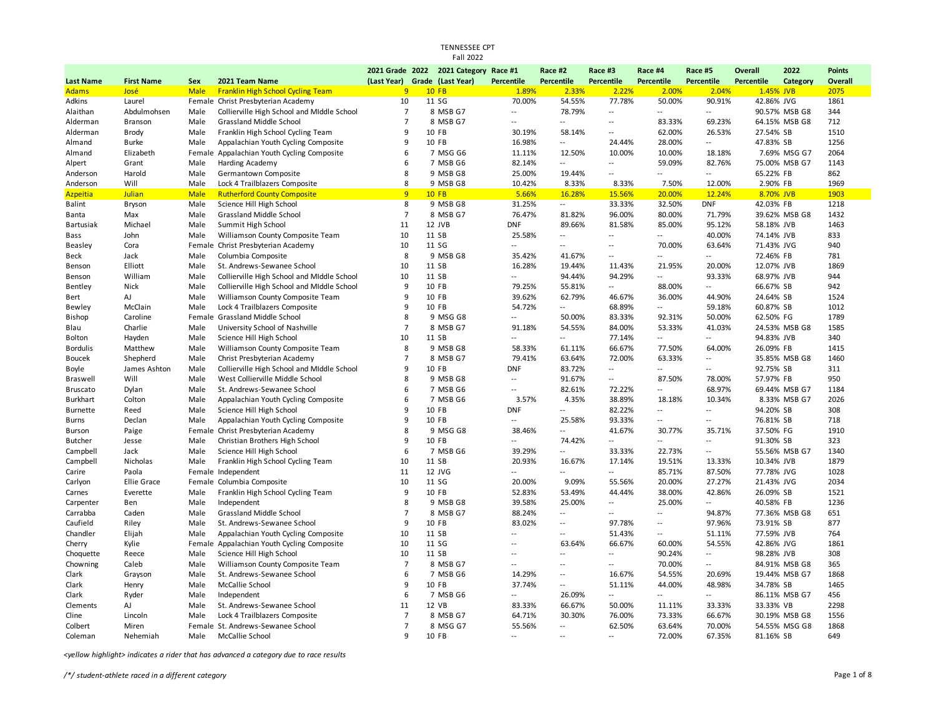|                       |                                |              |                                                                        |                               | 2021 Grade 2022 2021 Category Race #1 |                          | Race #2                     | Race #3                            | Race #4                  | Race #5                  | Overall                 | 2022          | <b>Points</b> |
|-----------------------|--------------------------------|--------------|------------------------------------------------------------------------|-------------------------------|---------------------------------------|--------------------------|-----------------------------|------------------------------------|--------------------------|--------------------------|-------------------------|---------------|---------------|
| <b>Last Name</b>      | <b>First Name</b>              | Sex          | 2021 Team Name                                                         | (Last Year) Grade (Last Year) |                                       | Percentile               | Percentile                  | Percentile                         | Percentile               | Percentile               | Percentile              | Category      | Overall       |
| <b>Adams</b>          | José                           | <b>Male</b>  | <b>Franklin High School Cycling Team</b>                               | $\bullet$                     | <b>10 FB</b>                          | 1.89%                    | 2.33%                       | 2.22%                              | 2.00%                    | 2.04%                    | 1.45% JVB               |               | 2075          |
| Adkins                | Laurel                         |              | Female Christ Presbyterian Academy                                     | 10                            | 11 SG                                 | 70.00%                   | 54.55%                      | 77.78%                             | 50.00%                   | 90.91%                   | 42.86% JVG              |               | 1861          |
| Alaithan              | Abdulmohsen                    | Male         | Collierville High School and MIddle School                             | $\overline{7}$                | 8 MSB G7                              | $\sim$                   | 78.79%                      | $\sim$                             | $\sim$                   | $\overline{\phantom{a}}$ |                         | 90.57% MSB G8 | 344           |
| Alderman              | Branson                        | Male         | Grassland Middle School                                                | $\overline{7}$                | 8 MSB G7                              | $\sim$                   | $\sim$                      | $\overline{a}$                     | 83.33%                   | 69.23%                   |                         | 64.15% MSB G8 | 712           |
| Alderman              | Brody                          | Male         | Franklin High School Cycling Team                                      | 9                             | 10 FB                                 | 30.19%                   | 58.14%                      | $\overline{\phantom{a}}$           | 62.00%                   | 26.53%                   | 27.54% SB               |               | 1510          |
| Almand                | <b>Burke</b>                   | Male         | Appalachian Youth Cycling Composite                                    | 9                             | 10 FB                                 | 16.98%                   | $\sim$                      | 24.44%                             | 28.00%                   | $\overline{\phantom{a}}$ | 47.83% SB               |               | 1256          |
| Almand                | Elizabeth                      |              | Female Appalachian Youth Cycling Composite                             | 6                             | 7 MSG G6                              | 11.11%                   | 12.50%                      | 10.00%                             | 10.00%                   | 18.18%                   |                         | 7.69% MSG G7  | 2064          |
| Alpert                | Grant                          | Male         | Harding Academy                                                        | 6                             | 7 MSB G6                              | 82.14%                   | $\sim$ $\sim$               | $\overline{\phantom{a}}$           | 59.09%                   | 82.76%                   |                         | 75.00% MSB G7 | 1143          |
| Anderson              | Harold                         | Male         | Germantown Composite                                                   | 8                             | 9 MSB G8                              | 25.00%                   | 19.44%                      | $\overline{\phantom{a}}$           | $\overline{a}$           | $\overline{\phantom{a}}$ | 65.22% FB               |               | 862           |
| Anderson              | Will                           | Male         | Lock 4 Trailblazers Composite                                          | 8                             | 9 MSB G8                              | 10.42%                   | 8.33%                       | 8.33%                              | 7.50%                    | 12.00%                   | 2.90% FB                |               | 1969          |
| Azpeitia              | <b>Julian</b>                  | <b>Male</b>  | <b>Rutherford County Composite</b>                                     | 9                             | $10$ FB                               | 5.66%                    | 16.28%                      | 15.56%                             | 20.00%                   | 12.24%                   | 8.70% JVB               |               | 1903          |
| <b>Balint</b>         | Bryson                         | Male         | Science Hill High School                                               | 8                             | 9 MSB G8                              | 31.25%                   | $\sim$                      | 33.33%                             | 32.50%                   | <b>DNF</b>               | 42.03% FB               |               | 1218          |
| Banta                 | Max                            | Male         | Grassland Middle School                                                | $\overline{7}$                | 8 MSB G7                              | 76.47%                   | 81.82%                      | 96.00%                             | 80.00%                   | 71.79%                   |                         | 39.62% MSB G8 | 1432          |
| Bartusiak             | Michael                        | Male         | Summit High School                                                     | 11                            | 12 JVB                                | <b>DNF</b>               | 89.66%                      | 81.58%                             | 85.00%                   | 95.12%                   | 58.18% JVB              |               | 1463          |
| Bass                  | John                           | Male         | Williamson County Composite Team                                       | 10                            | 11 SB                                 | 25.58%                   | $\overline{a}$              | $\overline{a}$                     | $\overline{a}$           | 40.00%                   | 74.14% JVB              |               | 833           |
| Beasley               | Cora                           |              | Female Christ Presbyterian Academy                                     | 10                            | 11 SG                                 | $\overline{a}$           | $\sim$                      | $\overline{a}$                     | 70.00%                   | 63.64%                   | 71.43% JVG              |               | 940           |
| Beck                  | Jack                           | Male         | Columbia Composite                                                     | 8                             | 9 MSB G8                              | 35.42%                   | 41.67%                      | $\overline{\phantom{a}}$           | $\overline{\phantom{a}}$ | $\overline{a}$           | 72.46% FB               |               | 781           |
| Benson                | Elliott                        | Male         | St. Andrews-Sewanee School                                             | 10                            | 11 SB                                 | 16.28%                   | 19.44%                      | 11.43%                             | 21.95%                   | 20.00%                   | 12.07% JVB              |               | 1869          |
| Benson                | William                        | Male         | Collierville High School and Middle School                             | 10                            | 11 SB                                 | $\overline{a}$           | 94.44%                      | 94.29%                             | $\overline{\phantom{a}}$ | 93.33%                   | 68.97% JVB              |               | 944           |
| Bentley               | Nick                           | Male         | Collierville High School and MIddle School                             | 9                             | 10 FB                                 | 79.25%                   | 55.81%                      | $\overline{\phantom{a}}$           | 88.00%                   | $\overline{\phantom{a}}$ | 66.67% SB               |               | 942           |
| Bert                  | AJ                             | Male         | Williamson County Composite Team                                       | 9                             | 10 FB                                 | 39.62%                   | 62.79%                      | 46.67%                             | 36.00%                   | 44.90%                   | 24.64% SB               |               | 1524          |
| Bewley                | McClain                        | Male         | Lock 4 Trailblazers Composite                                          | 9                             | 10 FB                                 | 54.72%                   | $\mathcal{L}_{\mathcal{A}}$ | 68.89%                             | $\overline{\phantom{a}}$ | 59.18%                   | 60.87% SB               |               | 1012          |
| <b>Bishop</b>         | Caroline                       |              | Female Grassland Middle School                                         | 8                             | 9 MSG G8                              | $\sim$                   | 50.00%                      | 83.33%                             | 92.31%                   | 50.00%                   | 62.50% FG               |               | 1789          |
| Blau                  | Charlie                        | Male         | University School of Nashville                                         | $\overline{7}$                | 8 MSB G7                              | 91.18%                   | 54.55%                      | 84.00%                             | 53.33%                   | 41.03%                   |                         | 24.53% MSB G8 | 1585          |
| Bolton                | Hayden                         | Male         | Science Hill High School                                               | 10                            | 11 SB                                 | $\ddot{\phantom{a}}$     | $\sim$                      | 77.14%                             | $\overline{a}$           | $\overline{\phantom{a}}$ | 94.83% JVB              |               | 340           |
| <b>Bordulis</b>       | Matthew                        | Male         | Williamson County Composite Team                                       | 8                             | 9 MSB G8                              | 58.33%                   | 61.11%                      | 66.67%                             | 77.50%                   | 64.00%                   | 26.09% FB               |               | 1415          |
| <b>Boucek</b>         | Shepherd                       | Male         | Christ Presbyterian Academy                                            | $\overline{7}$                | 8 MSB G7                              | 79.41%                   | 63.64%                      | 72.00%                             | 63.33%                   | $\overline{\phantom{a}}$ |                         | 35.85% MSB G8 | 1460          |
| Boyle                 | James Ashton                   | Male         | Collierville High School and MIddle School                             | 9                             | 10 FB                                 | <b>DNF</b>               | 83.72%                      | $\sim$                             | $\overline{a}$           | $\overline{\phantom{a}}$ | 92.75% SB               |               | 311           |
| Braswell              | Will                           | Male         | West Collierville Middle School                                        | 8                             | 9 MSB G8                              | $\sim$                   | 91.67%                      | $\sim$                             | 87.50%                   | 78.00%                   | 57.97% FB               |               | 950           |
| <b>Bruscato</b>       | Dylan                          | Male         | St. Andrews-Sewanee School                                             | 6                             | 7 MSB G6                              | $\overline{\phantom{a}}$ | 82.61%                      | 72.22%                             | $\overline{\phantom{a}}$ | 68.97%                   |                         | 69.44% MSB G7 | 1184          |
| Burkhart              | Colton                         | Male         | Appalachian Youth Cycling Composite                                    | 6                             | 7 MSB G6                              | 3.57%                    | 4.35%                       | 38.89%                             | 18.18%                   | 10.34%                   |                         | 8.33% MSB G7  | 2026          |
| <b>Burnette</b>       | Reed                           | Male         | Science Hill High School                                               | 9                             | 10 FB                                 | <b>DNF</b>               | $\sim$                      | 82.22%                             | $\sim$                   | $\overline{\phantom{a}}$ | 94.20% SB               |               | 308           |
| Burns                 | Declan                         | Male         | Appalachian Youth Cycling Composite                                    | 9                             | 10 FB                                 | $\overline{\phantom{a}}$ | 25.58%                      | 93.33%                             | $\overline{a}$           | $\overline{\phantom{a}}$ | 76.81% SB               |               | 718           |
| Burson                | Paige                          |              | Female Christ Presbyterian Academy                                     | 8                             | 9 MSG G8                              | 38.46%                   | $\sim$                      | 41.67%                             | 30.77%                   | 35.71%                   | 37.50% FG               |               | 1910          |
| Butcher               | Jesse                          | Male         | Christian Brothers High School                                         | 9                             | 10 FB                                 | $\overline{a}$           | 74.42%                      | $\overline{a}$                     | $\sim$                   | $\overline{\phantom{a}}$ | 91.30% SB               |               | 323           |
| Campbell              | Jack                           | Male         | Science Hill High School                                               | 6                             | 7 MSB G6                              | 39.29%                   | $\sim$ $\sim$               | 33.33%                             | 22.73%                   | $\overline{a}$           |                         | 55.56% MSB G7 | 1340          |
| Campbell              | Nicholas                       | Male         | Franklin High School Cycling Team                                      | 10                            | 11 SB                                 | 20.93%                   | 16.67%<br>$\overline{a}$    | 17.14%<br>$\overline{\phantom{a}}$ | 19.51%<br>85.71%         | 13.33%                   | 10.34% JVB              |               | 1879<br>1028  |
| Carire                | Paola                          |              | Female Independent                                                     | 11<br>10                      | 12 JVG<br>11 SG                       | 20.00%                   | 9.09%                       | 55.56%                             | 20.00%                   | 87.50%                   | 77.78% JVG              |               | 2034          |
| Carlyon               | <b>Ellie Grace</b><br>Everette |              | Female Columbia Composite                                              | 9                             | 10 FB                                 |                          | 53.49%                      | 44.44%                             | 38.00%                   | 27.27%                   | 21.43% JVG<br>26.09% SB |               | 1521          |
| Carnes                | Ben                            | Male<br>Male | Franklin High School Cycling Team<br>Independent                       | 8                             | 9 MSB G8                              | 52.83%                   | 25.00%                      | $\overline{a}$                     | 25.00%                   | 42.86%<br>$\ddotsc$      | 40.58% FB               |               | 1236          |
| Carpenter<br>Carrabba | Caden                          | Male         | Grassland Middle School                                                | $\overline{7}$                | 8 MSB G7                              | 39.58%<br>88.24%         | $\overline{a}$              | $\overline{\phantom{a}}$           | $\overline{a}$           | 94.87%                   |                         | 77.36% MSB G8 | 651           |
| Caufield              | Riley                          | Male         | St. Andrews-Sewanee School                                             | 9                             | 10 FB                                 | 83.02%                   | $\mathcal{L}_{\mathcal{A}}$ | 97.78%                             | $\overline{a}$           | 97.96%                   | 73.91% SB               |               | 877           |
| Chandler              | Elijah                         | Male         | Appalachian Youth Cycling Composite                                    | 10                            | 11 SB                                 | $\ddot{\phantom{a}}$     | $\overline{\phantom{a}}$    | 51.43%                             | $\sim$                   | 51.11%                   | 77.59% JVB              |               | 764           |
|                       |                                |              |                                                                        | 10                            | 11 SG                                 | ÷.                       | 63.64%                      | 66.67%                             | 60.00%                   | 54.55%                   | 42.86% JVG              |               | 1861          |
| Cherry                | Kylie<br>Reece                 | Male         | Female Appalachian Youth Cycling Composite<br>Science Hill High School | 10                            | 11 SB                                 | $\overline{a}$           | $\overline{a}$              | $\overline{\phantom{a}}$           | 90.24%                   | $\overline{\phantom{a}}$ | 98.28% JVB              |               | 308           |
| Choquette<br>Chowning | Caleb                          | Male         | Williamson County Composite Team                                       | $\overline{7}$                | 8 MSB G7                              | $\ddot{\phantom{a}}$     | $\sim$                      | $\overline{a}$                     | 70.00%                   | $\overline{\phantom{a}}$ |                         | 84.91% MSB G8 | 365           |
| Clark                 | Grayson                        | Male         | St. Andrews-Sewanee School                                             | 6                             | 7 MSB G6                              | 14.29%                   | $\sim$                      | 16.67%                             | 54.55%                   | 20.69%                   |                         | 19.44% MSB G7 | 1868          |
| Clark                 | Henry                          | Male         | McCallie School                                                        | 9                             | 10 FB                                 | 37.74%                   | $\sim$                      | 51.11%                             | 44.00%                   | 48.98%                   | 34.78% SB               |               | 1465          |
| Clark                 | Ryder                          | Male         | Independent                                                            | 6                             | 7 MSB G6                              | $\ddot{\phantom{a}}$     | 26.09%                      | $\ddotsc$                          | $\overline{a}$           | $\overline{\phantom{a}}$ |                         | 86.11% MSB G7 | 456           |
| Clements              | AJ                             | Male         | St. Andrews-Sewanee School                                             | 11                            | 12 VB                                 | 83.33%                   | 66.67%                      | 50.00%                             | 11.11%                   | 33.33%                   | 33.33% VB               |               | 2298          |
| Cline                 | Lincoln                        | Male         | Lock 4 Trailblazers Composite                                          | $\overline{7}$                | 8 MSB G7                              | 64.71%                   | 30.30%                      | 76.00%                             | 73.33%                   | 66.67%                   |                         | 30.19% MSB G8 | 1556          |
| Colbert               | Miren                          |              | Female St. Andrews-Sewanee School                                      | $\overline{7}$                | 8 MSG G7                              | 55.56%                   | $\sim$ $\sim$               | 62.50%                             | 63.64%                   | 70.00%                   |                         | 54.55% MSG G8 | 1868          |
| Coleman               | Nehemiah                       | Male         | McCallie School                                                        | 9                             | 10 FB                                 | $\sim$                   | $\overline{a}$              | $\overline{\phantom{a}}$           | 72.00%                   | 67.35%                   | 81.16% SB               |               | 649           |
|                       |                                |              |                                                                        |                               |                                       |                          |                             |                                    |                          |                          |                         |               |               |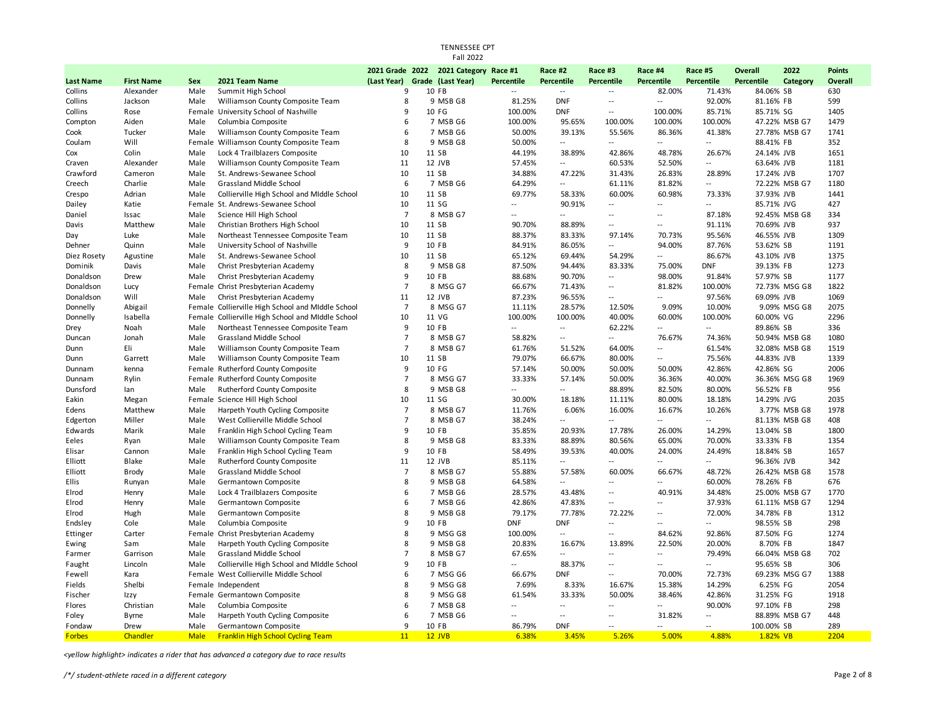|                  |                   |      |                                                            |                      | <b>Fall 2022</b>                      |                                            |                                    |                                            |                          |                          |                |                             |               |
|------------------|-------------------|------|------------------------------------------------------------|----------------------|---------------------------------------|--------------------------------------------|------------------------------------|--------------------------------------------|--------------------------|--------------------------|----------------|-----------------------------|---------------|
|                  |                   |      |                                                            |                      | 2021 Grade 2022 2021 Category Race #1 |                                            | Race #2                            | Race #3                                    | Race #4                  | Race #5                  | <b>Overall</b> | 2022                        | <b>Points</b> |
| <b>Last Name</b> | <b>First Name</b> | Sex  | 2021 Team Name                                             | (Last Year)          | Grade (Last Year)                     | <b>Percentile</b>                          | Percentile                         | Percentile                                 | Percentile               | Percentile               | Percentile     | Category                    | Overall       |
| Collins          | Alexander         | Male | Summit High School                                         | 9                    | 10 FB                                 | $\overline{a}$                             | $\mathcal{L}_{\mathcal{A}}$        | $\overline{\phantom{a}}$                   | 82.00%                   | 71.43%                   | 84.06% SB      |                             | 630           |
| Collins          | Jackson           | Male | Williamson County Composite Team                           | 8                    | 9 MSB G8                              | 81.25%                                     | <b>DNF</b>                         | $\overline{\phantom{a}}$                   | $\overline{a}$           | 92.00%                   | 81.16% FB      |                             | 599           |
| Collins          | Rose              |      | Female University School of Nashville                      | 9                    | 10 FG                                 | 100.00%                                    | <b>DNF</b>                         | $\overline{\phantom{a}}$                   | 100.00%                  | 85.71%                   | 85.71% SG      |                             | 1405          |
| Compton          | Aiden             | Male | Columbia Composite                                         | 6                    | 7 MSB G6                              | 100.00%                                    | 95.65%                             | 100.00%                                    | 100.00%                  | 100.00%                  |                | 47.22% MSB G7               | 1479          |
| Cook             | Tucker            | Male | Williamson County Composite Team                           | 6                    | 7 MSB G6                              | 50.00%                                     | 39.13%                             | 55.56%                                     | 86.36%                   | 41.38%                   |                | 27.78% MSB G7               | 1741          |
| Coulam           | Will              |      | Female Williamson County Composite Team                    | 8                    | 9 MSB G8                              | 50.00%                                     | $\overline{\phantom{a}}$           | $\sim$                                     | $\sim$                   | $\overline{\phantom{a}}$ | 88.41% FB      |                             | 352           |
| Cox              | Colin             | Male | Lock 4 Trailblazers Composite                              | 10                   | 11 SB                                 | 44.19%                                     | 38.89%                             | 42.86%                                     | 48.78%                   | 26.67%                   |                | 24.14% JVB                  | 1651          |
| Craven           | Alexander         | Male | Williamson County Composite Team                           | 11                   | 12 JVB                                | 57.45%                                     | $\overline{\phantom{a}}$           | 60.53%                                     | 52.50%                   | $\overline{a}$           |                | 63.64% JVB                  | 1181          |
| Crawford         | Cameron           | Male | St. Andrews-Sewanee School                                 | 10                   | 11 SB                                 | 34.88%                                     | 47.22%                             | 31.43%                                     | 26.83%                   | 28.89%                   |                | 17.24% JVB                  | 1707          |
| Creech           | Charlie           | Male | Grassland Middle School                                    | 6                    | 7 MSB G6                              | 64.29%                                     | $\overline{\phantom{a}}$           | 61.11%                                     | 81.82%                   | $\overline{\phantom{a}}$ |                | 72.22% MSB G7               | 1180          |
| Crespo           | Adrian            | Male | Collierville High School and MIddle School                 | 10                   | 11 SB                                 | 69.77%                                     | 58.33%                             | 60.00%                                     | 60.98%                   | 73.33%                   |                | 37.93% JVB                  | 1441          |
| Dailey           | Katie             | Male | Female St. Andrews-Sewanee School                          | 10<br>$\overline{7}$ | 11 SG<br>8 MSB G7                     | $\overline{\phantom{a}}$<br>$\overline{a}$ | 90.91%<br>$\overline{\phantom{a}}$ | $\overline{\phantom{a}}$<br>$\overline{a}$ | $\overline{a}$<br>$\sim$ | $\overline{a}$<br>87.18% |                | 85.71% JVG                  | 427<br>334    |
| Daniel<br>Davis  | Issac<br>Matthew  | Male | Science Hill High School<br>Christian Brothers High School | 10                   | 11 SB                                 | 90.70%                                     | 88.89%                             | $\overline{\phantom{a}}$                   | $\overline{a}$           | 91.11%                   |                | 92.45% MSB G8<br>70.69% JVB | 937           |
| Day              | Luke              | Male | Northeast Tennessee Composite Team                         | 10                   | 11 SB                                 | 88.37%                                     | 83.33%                             | 97.14%                                     | 70.73%                   | 95.56%                   |                | 46.55% JVB                  | 1309          |
| Dehner           | Quinn             | Male | University School of Nashville                             | 9                    | 10 FB                                 | 84.91%                                     | 86.05%                             | $\sim$                                     | 94.00%                   | 87.76%                   | 53.62% SB      |                             | 1191          |
| Diez Rosety      | Agustine          | Male | St. Andrews-Sewanee School                                 | 10                   | 11 SB                                 | 65.12%                                     | 69.44%                             | 54.29%                                     | $\overline{a}$           | 86.67%                   |                | 43.10% JVB                  | 1375          |
| Dominik          | Davis             | Male | Christ Presbyterian Academy                                | 8                    | 9 MSB G8                              | 87.50%                                     | 94.44%                             | 83.33%                                     | 75.00%                   | <b>DNF</b>               | 39.13% FB      |                             | 1273          |
| Donaldson        | Drew              | Male | Christ Presbyterian Academy                                | 9                    | 10 FB                                 | 88.68%                                     | 90.70%                             | $\overline{\phantom{a}}$                   | 98.00%                   | 91.84%                   | 57.97% SB      |                             | 1177          |
| Donaldson        | Lucy              |      | Female Christ Presbyterian Academy                         | $\overline{7}$       | 8 MSG G7                              | 66.67%                                     | 71.43%                             | $\sim$                                     | 81.82%                   | 100.00%                  |                | 72.73% MSG G8               | 1822          |
| Donaldson        | Will              | Male | Christ Presbyterian Academy                                | 11                   | 12 JVB                                | 87.23%                                     | 96.55%                             | $\overline{\phantom{a}}$                   | $\overline{a}$           | 97.56%                   |                | 69.09% JVB                  | 1069          |
| Donnelly         | Abigail           |      | Female Collierville High School and MIddle School          | $\overline{7}$       | 8 MSG G7                              | 11.11%                                     | 28.57%                             | 12.50%                                     | 9.09%                    | 10.00%                   |                | 9.09% MSG G8                | 2075          |
| Donnelly         | Isabella          |      | Female Collierville High School and MIddle School          | 10                   | 11 VG                                 | 100.00%                                    | 100.00%                            | 40.00%                                     | 60.00%                   | 100.00%                  | 60.00% VG      |                             | 2296          |
| Drey             | Noah              | Male | Northeast Tennessee Composite Team                         | 9                    | 10 FB                                 | $\overline{\phantom{a}}$                   | $\sim$                             | 62.22%                                     | $\overline{\phantom{a}}$ | $\overline{\phantom{a}}$ | 89.86% SB      |                             | 336           |
| Duncan           | Jonah             | Male | <b>Grassland Middle School</b>                             | $\overline{7}$       | 8 MSB G7                              | 58.82%                                     | $\overline{\phantom{a}}$           | $\overline{a}$                             | 76.67%                   | 74.36%                   |                | 50.94% MSB G8               | 1080          |
| Dunn             | Eli               | Male | Williamson County Composite Team                           | $\overline{7}$       | 8 MSB G7                              | 61.76%                                     | 51.52%                             | 64.00%                                     | $\sim$                   | 61.54%                   |                | 32.08% MSB G8               | 1519          |
| Dunn             | Garrett           | Male | Williamson County Composite Team                           | 10                   | 11 SB                                 | 79.07%                                     | 66.67%                             | 80.00%                                     | $\overline{\phantom{a}}$ | 75.56%                   |                | 44.83% JVB                  | 1339          |
| Dunnam           | kenna             |      | Female Rutherford County Composite                         | 9                    | 10 FG                                 | 57.14%                                     | 50.00%                             | 50.00%                                     | 50.00%                   | 42.86%                   | 42.86% SG      |                             | 2006          |
| Dunnam           | Rylin             |      | Female Rutherford County Composite                         | $\overline{7}$       | 8 MSG G7                              | 33.33%                                     | 57.14%                             | 50.00%                                     | 36.36%                   | 40.00%                   |                | 36.36% MSG G8               | 1969          |
| Dunsford         | lan               | Male | Rutherford County Composite                                | 8                    | 9 MSB G8                              | $\overline{\phantom{a}}$                   | $\mathcal{L}_{\mathcal{A}}$        | 88.89%                                     | 82.50%                   | 80.00%                   | 56.52% FB      |                             | 956           |
| Eakin            | Megan             |      | Female Science Hill High School                            | 10                   | 11 SG                                 | 30.00%                                     | 18.18%                             | 11.11%                                     | 80.00%                   | 18.18%                   |                | 14.29% JVG                  | 2035          |
| Edens            | Matthew           | Male | Harpeth Youth Cycling Composite                            | $\overline{7}$       | 8 MSB G7                              | 11.76%                                     | 6.06%                              | 16.00%                                     | 16.67%                   | 10.26%                   |                | 3.77% MSB G8                | 1978          |
| Edgerton         | Miller            | Male | West Collierville Middle School                            | $\overline{7}$       | 8 MSB G7                              | 38.24%                                     | $\mathbb{L}$ .                     | $\sim$                                     | $\overline{a}$           | $\overline{\phantom{a}}$ |                | 81.13% MSB G8               | 408           |
| Edwards          | Marik             | Male | Franklin High School Cycling Team                          | 9                    | 10 FB                                 | 35.85%                                     | 20.93%                             | 17.78%                                     | 26.00%                   | 14.29%                   | 13.04% SB      |                             | 1800          |
| Eeles            | Ryan              | Male | Williamson County Composite Team                           | 8                    | 9 MSB G8                              | 83.33%                                     | 88.89%                             | 80.56%                                     | 65.00%                   | 70.00%                   | 33.33% FB      |                             | 1354          |
| Elisar           | Cannon            | Male | Franklin High School Cycling Team                          | 9                    | 10 FB                                 | 58.49%                                     | 39.53%                             | 40.00%                                     | 24.00%                   | 24.49%                   | 18.84% SB      |                             | 1657          |
| Elliott          | Blake             | Male | Rutherford County Composite                                | 11                   | 12 JVB                                | 85.11%                                     | $\mathbb{L}$ .                     | $\overline{a}$                             | $\overline{a}$           | $\overline{a}$           |                | 96.36% JVB                  | 342           |
| Elliott          | Brody             | Male | Grassland Middle School                                    | $\overline{7}$       | 8 MSB G7                              | 55.88%                                     | 57.58%                             | 60.00%                                     | 66.67%                   | 48.72%                   |                | 26.42% MSB G8               | 1578          |
| Ellis            | Runyan            | Male | Germantown Composite                                       | 8                    | 9 MSB G8                              | 64.58%                                     | $\overline{a}$                     | $\overline{\phantom{a}}$                   | $\overline{\phantom{a}}$ | 60.00%                   | 78.26% FB      |                             | 676           |
| Elrod            | Henry             | Male | Lock 4 Trailblazers Composite                              | 6                    | 7 MSB G6                              | 28.57%                                     | 43.48%                             | $\overline{a}$                             | 40.91%                   | 34.48%                   |                | 25.00% MSB G7               | 1770          |
| Elrod            | Henry             | Male | Germantown Composite                                       | 6                    | 7 MSB G6                              | 42.86%                                     | 47.83%                             | $\overline{\phantom{a}}$                   | $\overline{\phantom{a}}$ | 37.93%                   |                | 61.11% MSB G7               | 1294          |
| Elrod            | Hugh              | Male | Germantown Composite                                       | 8                    | 9 MSB G8                              | 79.17%                                     | 77.78%                             | 72.22%                                     | $\ddotsc$                | 72.00%                   | 34.78% FB      |                             | 1312          |
| Endsley          | Cole              | Male | Columbia Composite                                         | 9                    | 10 FB                                 | <b>DNF</b>                                 | <b>DNF</b>                         | $\overline{\phantom{a}}$                   | $\overline{a}$           | $\overline{\phantom{a}}$ | 98.55% SB      |                             | 298           |
| Ettinger         | Carter            |      | Female Christ Presbyterian Academy                         | 8                    | 9 MSG G8                              | 100.00%                                    | $\overline{\phantom{a}}$           | $\overline{a}$                             | 84.62%                   | 92.86%                   | 87.50% FG      |                             | 1274          |
| Ewing            | Sam               | Male | Harpeth Youth Cycling Composite                            | 8                    | 9 MSB G8                              | 20.83%                                     | 16.67%                             | 13.89%                                     | 22.50%                   | 20.00%                   |                | 8.70% FB                    | 1847          |
| Farmer           | Garrison          | Male | <b>Grassland Middle School</b>                             | $\overline{7}$       | 8 MSB G7                              | 67.65%                                     | $\sim$                             | $\overline{\phantom{a}}$                   | $\overline{a}$           | 79.49%                   |                | 66.04% MSB G8               | 702           |
| Faught           | Lincoln           | Male | Collierville High School and MIddle School                 | 9                    | 10 FB                                 | $\overline{a}$                             | 88.37%                             | $\overline{a}$                             | $\overline{\phantom{a}}$ | $\overline{\phantom{a}}$ | 95.65% SB      |                             | 306           |
| Fewell           | Kara              |      | Female West Collierville Middle School                     | 6                    | 7 MSG G6                              | 66.67%                                     | <b>DNF</b>                         | $\overline{a}$                             | 70.00%                   | 72.73%                   |                | 69.23% MSG G7               | 1388          |
| Fields           | Shelbi            |      | Female Independent                                         | 8                    | 9 MSG G8                              | 7.69%                                      | 8.33%                              | 16.67%                                     | 15.38%                   | 14.29%                   |                | 6.25% FG                    | 2054          |
| Fischer          | Izzy              |      | Female Germantown Composite                                | 8                    | 9 MSG G8                              | 61.54%                                     | 33.33%                             | 50.00%                                     | 38.46%                   | 42.86%                   | 31.25% FG      |                             | 1918          |
| Flores           | Christian         | Male | Columbia Composite                                         | 6                    | 7 MSB G8                              | $\overline{\phantom{a}}$                   | $\overline{\phantom{a}}$           | $\overline{\phantom{a}}$                   | $\sim$                   | 90.00%                   | 97.10% FB      |                             | 298           |
| Foley            | <b>Byrne</b>      | Male | Harpeth Youth Cycling Composite                            | 6                    | 7 MSB G6                              | $\overline{a}$                             | $\sim$                             | $\sim$                                     | 31.82%                   | $\overline{a}$           |                | 88.89% MSB G7               | 448           |
| Fondaw           | Drew              | Male | Germantown Composite                                       | 9                    | 10 FB                                 | 86.79%                                     | <b>DNF</b>                         | $\overline{\phantom{a}}$                   | $\overline{\phantom{a}}$ | $\overline{\phantom{a}}$ | 100.00% SB     |                             | 289           |
| <b>Forbes</b>    | Chandler          | Male | <b>Franklin High School Cycling Team</b>                   | 11                   | <b>12 JVB</b>                         | 6.38%                                      | 3.45%                              | 5.26%                                      | 5.00%                    | 4.88%                    |                | 1.82% VB                    | 2204          |

TENNESSEE CPT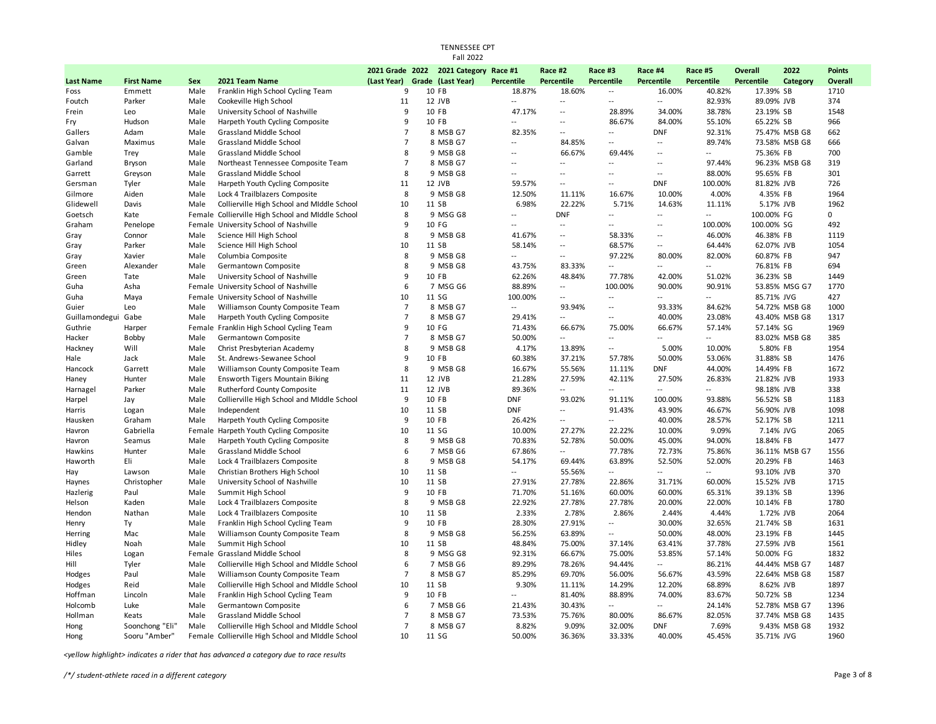|                  |                   |      |                                                   | 2021 Grade 2022 | 2021 Category Race #1 |                | Race #2                     | Race #3                  | Race #4                  | Race #5           | Overall    | 2022          | <b>Points</b> |
|------------------|-------------------|------|---------------------------------------------------|-----------------|-----------------------|----------------|-----------------------------|--------------------------|--------------------------|-------------------|------------|---------------|---------------|
| <b>Last Name</b> | <b>First Name</b> | Sex  | 2021 Team Name                                    | (Last Year)     | Grade (Last Year)     | Percentile     | Percentile                  | Percentile               | Percentile               | <b>Percentile</b> | Percentile | Category      | Overall       |
| Foss             | Emmett            | Male | Franklin High School Cycling Team                 | 9               | 10 FB                 | 18.87%         | 18.60%                      | $\overline{\phantom{a}}$ | 16.00%                   | 40.82%            | 17.39% SB  |               | 1710          |
| Foutch           | Parker            | Male | Cookeville High School                            | 11              | 12 JVB                | $\overline{a}$ | $\overline{a}$              | $\overline{a}$           | $\overline{a}$           | 82.93%            | 89.09% JVB |               | 374           |
| Frein            | Leo               | Male | University School of Nashville                    | 9               | 10 FB                 | 47.17%         | $\mathcal{L}_{\mathcal{A}}$ | 28.89%                   | 34.00%                   | 38.78%            | 23.19% SB  |               | 1548          |
| Fry              | Hudson            | Male | Harpeth Youth Cycling Composite                   | 9               | 10 FB                 | $\overline{a}$ | $\mathbb{L}$ .              | 86.67%                   | 84.00%                   | 55.10%            | 65.22% SB  |               | 966           |
| Gallers          | Adam              | Male | Grassland Middle School                           | $\overline{7}$  | 8 MSB G7              | 82.35%         | $\sim$ $\sim$               | $\overline{a}$           | <b>DNF</b>               | 92.31%            |            | 75.47% MSB G8 | 662           |
| Galvan           | Maximus           | Male | Grassland Middle School                           | $\overline{7}$  | 8 MSB G7              | $\overline{a}$ | 84.85%                      | $\overline{\phantom{a}}$ | $\sim$                   | 89.74%            |            | 73.58% MSB G8 | 666           |
| Gamble           | Trey              | Male | Grassland Middle School                           | 8               | 9 MSB G8              | $\sim$         | 66.67%                      | 69.44%                   | $\sim$                   | $\overline{a}$    | 75.36% FB  |               | 700           |
| Garland          | Bryson            | Male | Northeast Tennessee Composite Team                | $\overline{7}$  | 8 MSB G7              | $\sim$         | $\overline{a}$              | $\overline{a}$           | $\overline{a}$           | 97.44%            |            | 96.23% MSB G8 | 319           |
| Garrett          | Greyson           | Male | Grassland Middle School                           | 8               | 9 MSB G8              | $\overline{a}$ | $\sim$ $\sim$               | $\overline{a}$           | $\overline{a}$           | 88.00%            | 95.65% FB  |               | 301           |
| Gersman          | Tyler             | Male | Harpeth Youth Cycling Composite                   | 11              | 12 JVB                | 59.57%         | $\sim$                      | $\overline{a}$           | <b>DNF</b>               | 100.00%           | 81.82% JVB |               | 726           |
| Gilmore          | Aiden             | Male | Lock 4 Trailblazers Composite                     | 8               | 9 MSB G8              | 12.50%         | 11.11%                      | 16.67%                   | 10.00%                   | 4.00%             | 4.35% FB   |               | 1964          |
| Glidewell        | Davis             | Male | Collierville High School and Middle School        | 10              | 11 SB                 | 6.98%          | 22.22%                      | 5.71%                    | 14.63%                   | 11.11%            | 5.17% JVB  |               | 1962          |
| Goetsch          | Kate              |      | Female Collierville High School and Middle School | 8               | 9 MSG G8              | $\sim$         | <b>DNF</b>                  | $\overline{a}$           | $\sim$                   | $\overline{a}$    | 100.00% FG |               | $\mathbf 0$   |
| Graham           | Penelope          |      | Female University School of Nashville             | 9               | 10 FG                 | $\overline{a}$ | $\mathcal{L}_{\mathcal{A}}$ | $\overline{a}$           | $\overline{\phantom{a}}$ | 100.00%           | 100.00% SG |               | 492           |
| Gray             | Connor            | Male | Science Hill High School                          | 8               | 9 MSB G8              | 41.67%         | $\overline{a}$              | 58.33%                   | $\overline{\phantom{a}}$ | 46.00%            | 46.38% FB  |               | 1119          |
| Gray             | Parker            | Male | Science Hill High School                          | 10              | 11 SB                 | 58.14%         | $\sim$                      | 68.57%                   | $\overline{\phantom{a}}$ | 64.44%            | 62.07% JVB |               | 1054          |
| Gray             | Xavier            | Male | Columbia Composite                                | 8               | 9 MSB G8              | $\overline{a}$ | $\mathcal{L}_{\mathcal{A}}$ | 97.22%                   | 80.00%                   | 82.00%            | 60.87% FB  |               | 947           |
| Green            | Alexander         | Male | Germantown Composite                              | 8               | 9 MSB G8              | 43.75%         | 83.33%                      | $\sim$                   | $\sim$                   | $\overline{a}$    | 76.81% FB  |               | 694           |
| Green            | Tate              | Male | University School of Nashville                    | q               | 10 FB                 | 62.26%         | 48.84%                      | 77.78%                   | 42.00%                   | 51.02%            | 36.23% SB  |               | 1449          |
| Guha             | Asha              |      | Female University School of Nashville             | 6               | 7 MSG G6              | 88.89%         | $\sim$                      | 100.00%                  | 90.00%                   | 90.91%            |            | 53.85% MSG G7 | 1770          |
| Guha             | Maya              |      | Female University School of Nashville             | 10              | 11 SG                 | 100.00%        | $\overline{a}$              | $\overline{a}$           | $\overline{\phantom{a}}$ | $\overline{a}$    | 85.71% JVG |               | 427           |
| Guier            | Leo               | Male | Williamson County Composite Team                  | $\overline{7}$  | 8 MSB G7              | $\sim$         | 93.94%                      | $\overline{\phantom{a}}$ | 93.33%                   | 84.62%            |            | 54.72% MSB G8 | 1000          |
| Guillamondegui   | Gabe              | Male | Harpeth Youth Cycling Composite                   | $\overline{7}$  | 8 MSB G7              | 29.41%         | $\overline{\phantom{a}}$    | $\overline{a}$           | 40.00%                   | 23.08%            |            | 43.40% MSB G8 | 1317          |
| Guthrie          | Harper            |      | Female Franklin High School Cycling Team          | 9               | 10 FG                 | 71.43%         | 66.67%                      | 75.00%                   | 66.67%                   | 57.14%            | 57.14% SG  |               | 1969          |
| Hacker           | Bobby             | Male | Germantown Composite                              | $\overline{7}$  | 8 MSB G7              | 50.00%         | $\overline{\phantom{a}}$    | $\overline{a}$           | $\overline{a}$           |                   |            | 83.02% MSB G8 | 385           |
| Hackney          | Will              | Male | Christ Presbyterian Academy                       | 8               | 9 MSB G8              | 4.17%          | 13.89%                      | $\sim$                   | 5.00%                    | 10.00%            | 5.80% FB   |               | 1954          |
| Hale             | Jack              | Male | St. Andrews-Sewanee School                        | 9               | 10 FB                 | 60.38%         | 37.21%                      | 57.78%                   | 50.00%                   | 53.06%            | 31.88% SB  |               | 1476          |
| Hancock          | Garrett           | Male | Williamson County Composite Team                  | 8               | 9 MSB G8              | 16.67%         | 55.56%                      | 11.11%                   | <b>DNF</b>               | 44.00%            | 14.49% FB  |               | 1672          |
| Haney            | Hunter            | Male | <b>Ensworth Tigers Mountain Biking</b>            | 11              | 12 JVB                | 21.28%         | 27.59%                      | 42.11%                   | 27.50%                   | 26.83%            | 21.82% JVB |               | 1933          |
| Harnagel         | Parker            | Male | Rutherford County Composite                       | 11              | 12 JVB                | 89.36%         | $\overline{a}$              | $\overline{a}$           | $\overline{a}$           | $\overline{a}$    | 98.18% JVB |               | 338           |
| Harpel           | Jay               | Male | Collierville High School and MIddle School        | 9               | 10 FB                 | <b>DNF</b>     | 93.02%                      | 91.11%                   | 100.00%                  | 93.88%            | 56.52% SB  |               | 1183          |
| Harris           | Logan             | Male | Independent                                       | 10              | 11 SB                 | <b>DNF</b>     | $\mathcal{L}_{\mathcal{A}}$ | 91.43%                   | 43.90%                   | 46.67%            | 56.90% JVB |               | 1098          |
| Hausken          | Graham            | Male | Harpeth Youth Cycling Composite                   | 9               | 10 FB                 | 26.42%         | $\mathcal{L}_{\mathcal{A}}$ | $\overline{a}$           | 40.00%                   | 28.57%            | 52.17% SB  |               | 1211          |
| Havron           | Gabriella         |      | Female Harpeth Youth Cycling Composite            | 10              | 11 SG                 | 10.00%         | 27.27%                      | 22.22%                   | 10.00%                   | 9.09%             | 7.14% JVG  |               | 2065          |
| Havron           | Seamus            | Male | Harpeth Youth Cycling Composite                   | 8               | 9 MSB G8              | 70.83%         | 52.78%                      | 50.00%                   | 45.00%                   | 94.00%            | 18.84% FB  |               | 1477          |
| Hawkins          | Hunter            | Male | Grassland Middle School                           | 6               | 7 MSB G6              | 67.86%         | $\sim$                      | 77.78%                   | 72.73%                   | 75.86%            |            | 36.11% MSB G7 | 1556          |
| Haworth          | Eli               | Male | Lock 4 Trailblazers Composite                     | 8               | 9 MSB G8              | 54.17%         | 69.44%                      | 63.89%                   | 52.50%                   | 52.00%            | 20.29% FB  |               | 1463          |
| Hay              | Lawson            | Male | Christian Brothers High School                    | 10              | 11 SB                 | $\overline{a}$ | 55.56%                      | $\overline{\phantom{a}}$ | $\overline{a}$           | $\overline{a}$    | 93.10% JVB |               | 370           |
| Haynes           | Christopher       | Male | University School of Nashville                    | 10              | 11 SB                 | 27.91%         | 27.78%                      | 22.86%                   | 31.71%                   | 60.00%            | 15.52% JVB |               | 1715          |
| Hazlerig         | Paul              | Male | Summit High School                                | $\mathbf{q}$    | 10 FB                 | 71.70%         | 51.16%                      | 60.00%                   | 60.00%                   | 65.31%            | 39.13% SB  |               | 1396          |
| Helson           | Kaden             | Male | Lock 4 Trailblazers Composite                     | 8               | 9 MSB G8              | 22.92%         | 27.78%                      | 27.78%                   | 20.00%                   | 22.00%            | 10.14% FB  |               | 1780          |
| Hendon           | Nathan            | Male | Lock 4 Trailblazers Composite                     | 10              | 11 SB                 | 2.33%          | 2.78%                       | 2.86%                    | 2.44%                    | 4.44%             | 1.72% JVB  |               | 2064          |
| Henry            | Ty                | Male | Franklin High School Cycling Team                 | 9               | 10 FB                 | 28.30%         | 27.91%                      | $\sim$                   | 30.00%                   | 32.65%            | 21.74% SB  |               | 1631          |
| Herring          | Mac               | Male | Williamson County Composite Team                  | 8               | 9 MSB G8              | 56.25%         | 63.89%                      | $\sim$                   | 50.00%                   | 48.00%            | 23.19% FB  |               | 1445          |
| Hidley           | Noah              | Male | Summit High School                                | 10              | 11 SB                 | 48.84%         | 75.00%                      | 37.14%                   | 63.41%                   | 37.78%            | 27.59% JVB |               | 1561          |
| Hiles            | Logan             |      | Female Grassland Middle School                    | 8               | 9 MSG G8              | 92.31%         | 66.67%                      | 75.00%                   | 53.85%                   | 57.14%            | 50.00% FG  |               | 1832          |
| Hill             | Tyler             | Male | Collierville High School and Middle School        | 6               | 7 MSB G6              | 89.29%         | 78.26%                      | 94.44%                   | $\overline{\phantom{a}}$ | 86.21%            |            | 44.44% MSB G7 | 1487          |
| Hodges           | Paul              | Male | Williamson County Composite Team                  | $\overline{7}$  | 8 MSB G7              | 85.29%         | 69.70%                      | 56.00%                   | 56.67%                   | 43.59%            |            | 22.64% MSB G8 | 1587          |
| Hodges           | Reid              | Male | Collierville High School and MIddle School        | 10              | 11 SB                 | 9.30%          | 11.11%                      | 14.29%                   | 12.20%                   | 68.89%            | 8.62% JVB  |               | 1897          |
| Hoffman          | Lincoln           | Male | Franklin High School Cycling Team                 | 9               | 10 FB                 | $\overline{a}$ | 81.40%                      | 88.89%                   | 74.00%                   | 83.67%            | 50.72% SB  |               | 1234          |
| Holcomb          | Luke              | Male | Germantown Composite                              | 6               | 7 MSB G6              | 21.43%         | 30.43%                      | $\sim$                   | $\sim$                   | 24.14%            |            | 52.78% MSB G7 | 1396          |
| Hollman          | Keats             | Male | Grassland Middle School                           | $\overline{7}$  | 8 MSB G7              | 73.53%         | 75.76%                      | 80.00%                   | 86.67%                   | 82.05%            |            | 37.74% MSB G8 | 1435          |
| Hong             | Soonchong "Eli'   | Male | Collierville High School and MIddle School        | $\overline{7}$  | 8 MSB G7              | 8.82%          | 9.09%                       | 32.00%                   | <b>DNF</b>               | 7.69%             |            | 9.43% MSB G8  | 1932          |
| Hong             | Sooru "Amber"     |      | Female Collierville High School and Middle School | 10              | 11 SG                 | 50.00%         | 36.36%                      | 33.33%                   | 40.00%                   | 45.45%            | 35.71% JVG |               | 1960          |

*<yellow highlight> indicates a rider that has advanced a category due to race results*

*/\*/ student-athlete raced in a different category* Page 3 of 8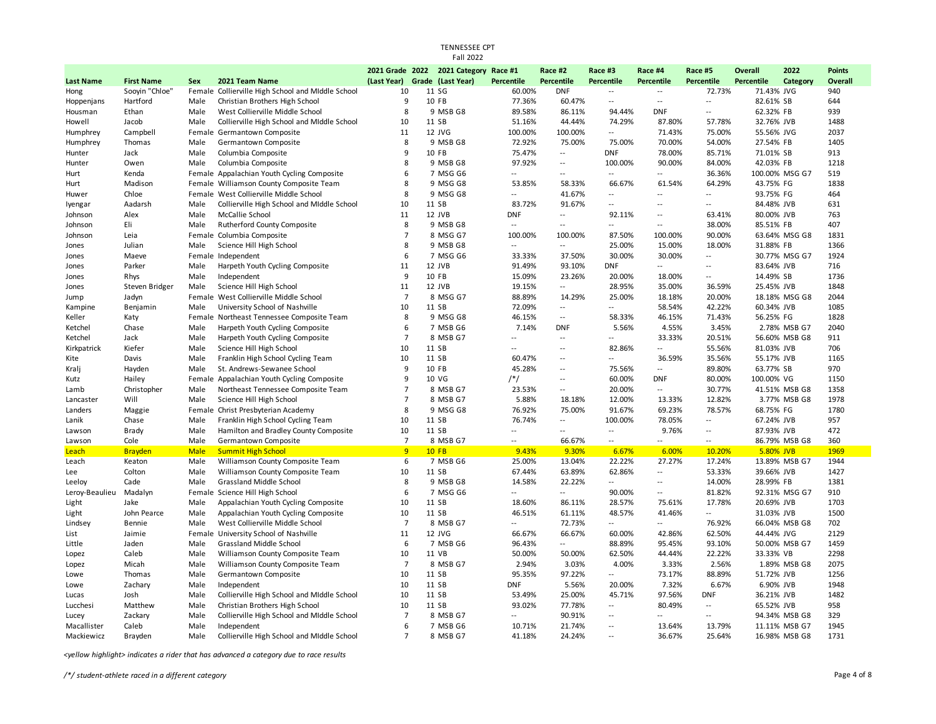|                     |                   |              |                                                             |                     | 2021 Grade 2022 2021 Category Race #1 |                         | Race #2                                | Race #3                  | Race #4                            | Race #5                  | Overall    | 2022           | <b>Points</b> |
|---------------------|-------------------|--------------|-------------------------------------------------------------|---------------------|---------------------------------------|-------------------------|----------------------------------------|--------------------------|------------------------------------|--------------------------|------------|----------------|---------------|
| <b>Last Name</b>    | <b>First Name</b> | <b>Sex</b>   | 2021 Team Name                                              | (Last Year)         | Grade (Last Year)                     | <b>Percentile</b>       | <b>Percentile</b>                      | <b>Percentile</b>        | Percentile                         | Percentile               | Percentile | Category       | Overall       |
| Hong                | Sooyin "Chloe"    |              | Female Collierville High School and Middle School           | 10                  | 11 SG                                 | 60.00%                  | <b>DNF</b>                             | $\ddot{\phantom{a}}$     | $\overline{a}$                     | 72.73%                   | 71.43% JVG |                | 940           |
| Hoppenjans          | Hartford          | Male         | Christian Brothers High School                              | 9                   | 10 FB                                 | 77.36%                  | 60.47%                                 | $\overline{a}$           | $\overline{a}$                     | $\overline{a}$           | 82.61% SB  |                | 644           |
| Housman             | Ethan             | Male         | West Collierville Middle School                             | 8                   | 9 MSB G8                              | 89.58%                  | 86.11%                                 | 94.44%                   | <b>DNF</b>                         | $\overline{a}$           | 62.32% FB  |                | 939           |
| Howell              | Jacob             | Male         | Collierville High School and MIddle School                  | 10                  | 11 SB                                 | 51.16%                  | 44.44%                                 | 74.29%                   | 87.80%                             | 57.78%                   | 32.76% JVB |                | 1488          |
| Humphrey            | Campbell          |              | Female Germantown Composite                                 | 11                  | 12 JVG                                | 100.00%                 | 100.00%                                | $\overline{a}$           | 71.43%                             | 75.00%                   | 55.56% JVG |                | 2037          |
| Humphrey            | Thomas            | Male         | Germantown Composite                                        | 8                   | 9 MSB G8                              | 72.92%                  | 75.00%                                 | 75.00%                   | 70.00%                             | 54.00%                   | 27.54% FB  |                | 1405          |
| Hunter              | Jack              | Male         | Columbia Composite                                          | $\mathbf{q}$        | 10 FB                                 | 75.47%                  | $\sim$                                 | <b>DNF</b>               | 78.00%                             | 85.71%                   | 71.01% SB  |                | 913           |
| Hunter              | Owen              | Male         | Columbia Composite                                          | $\mathbf{R}$        | 9 MSB G8                              | 97.92%                  | $\overline{a}$                         | 100.00%                  | 90.00%                             | 84.00%                   | 42.03% FB  |                | 1218          |
| Hurt                | Kenda             |              | Female Appalachian Youth Cycling Composite                  | 6                   | 7 MSG G6                              | $\overline{a}$          | $\overline{a}$                         | $\overline{a}$           | $\overline{\phantom{a}}$           | 36.36%                   |            | 100.00% MSG G7 | 519           |
| Hurt                | Madison           |              | Female Williamson County Composite Team                     | 8                   | 9 MSG G8                              | 53.85%                  | 58.33%                                 | 66.67%                   | 61.54%                             | 64.29%                   | 43.75% FG  |                | 1838          |
| Huwer               | Chloe             |              | Female West Collierville Middle School                      | 8                   | 9 MSG G8                              | $\overline{a}$          | 41.67%                                 | $\overline{\phantom{a}}$ | $\overline{a}$                     | $\overline{\phantom{a}}$ | 93.75% FG  |                | 464           |
| Iyengar             | Aadarsh           | Male         | Collierville High School and MIddle School                  | 10                  | 11 SB                                 | 83.72%                  | 91.67%                                 | $\overline{a}$           | $\overline{a}$                     | $\overline{a}$           | 84.48% JVB |                | 631           |
| Johnson             | Alex              | Male         | McCallie School                                             | 11                  | 12 JVB                                | <b>DNF</b>              | $\overline{a}$                         | 92.11%                   | $\overline{a}$                     | 63.41%                   | 80.00% JVB |                | 763           |
| Johnson             | Eli               | Male         | Rutherford County Composite                                 | 8                   | 9 MSB G8                              | $\overline{a}$          | $\overline{a}$                         | $\overline{\phantom{a}}$ | $\overline{a}$                     | 38.00%                   | 85.51% FB  |                | 407           |
| Johnson             | Leia              |              | Female Columbia Composite                                   | $\overline{7}$      | 8 MSG G7                              | 100.00%                 | 100.00%                                | 87.50%                   | 100.00%                            | 90.00%                   |            | 63.64% MSG G8  | 1831          |
| Jones               | Julian            | Male         | Science Hill High School                                    | $\mathbf{R}$        | 9 MSB G8                              | $\overline{a}$          | $\overline{a}$                         | 25.00%                   | 15.00%                             | 18.00%                   | 31.88% FB  |                | 1366          |
| Jones               | Maeve             |              | Female Independent                                          | 6                   | 7 MSG G6                              | 33.33%                  | 37.50%                                 | 30.00%                   | 30.00%                             | $\overline{a}$           |            | 30.77% MSG G7  | 1924          |
| Jones               | Parker            | Male         | Harpeth Youth Cycling Composite                             | 11                  | 12 JVB                                | 91.49%                  | 93.10%                                 | <b>DNF</b>               | $\overline{a}$                     | $\overline{a}$           | 83.64% JVB |                | 716           |
| Jones               | Rhys              | Male         | Independent                                                 | 9                   | 10 FB                                 | 15.09%                  | 23.26%                                 | 20.00%                   | 18.00%                             | $\overline{a}$           | 14.49% SB  |                | 1736          |
| Jones               | Steven Bridger    | Male         | Science Hill High School                                    | 11                  | 12 JVB                                | 19.15%                  | $\overline{a}$                         | 28.95%                   | 35.00%                             | 36.59%                   | 25.45% JVB |                | 1848          |
| Jump                | Jadyn             |              | Female West Collierville Middle School                      | $\overline{7}$      | 8 MSG G7                              | 88.89%                  | 14.29%                                 | 25.00%                   | 18.18%                             | 20.00%                   |            | 18.18% MSG G8  | 2044          |
| Kampine             | Benjamin          | Male         | University School of Nashville                              | 10                  | 11 SB                                 | 72.09%                  | $\overline{\phantom{a}}$               | $\overline{a}$           | 58.54%                             | 42.22%                   | 60.34% JVB |                | 1085          |
| Keller              | Katy              |              | Female Northeast Tennessee Composite Team                   | 8                   | 9 MSG G8                              | 46.15%                  | $\sim$                                 | 58.33%                   | 46.15%                             | 71.43%                   | 56.25% FG  |                | 1828          |
| Ketchel             | Chase             | Male         | Harpeth Youth Cycling Composite                             | 6<br>$\overline{7}$ | 7 MSB G6                              | 7.14%<br>$\overline{a}$ | <b>DNF</b><br>$\overline{\phantom{a}}$ | 5.56%<br>$\overline{a}$  | 4.55%                              | 3.45%                    |            | 2.78% MSB G7   | 2040          |
| Ketchel             | Jack<br>Kiefer    | Male         | Harpeth Youth Cycling Composite<br>Science Hill High School | 10                  | 8 MSB G7<br>11 SB                     | $\overline{a}$          | $\mathbb{L}$ .                         | 82.86%                   | 33.33%<br>$\overline{\phantom{a}}$ | 20.51%<br>55.56%         | 81.03% JVB | 56.60% MSB G8  | 911<br>706    |
| Kirkpatrick<br>Kite | Davis             | Male<br>Male | Franklin High School Cycling Team                           | 10                  | 11 SB                                 | 60.47%                  | $\sim$ $\sim$                          | $\overline{a}$           | 36.59%                             | 35.56%                   | 55.17% JVB |                | 1165          |
| Kralj               | Hayden            | Male         | St. Andrews-Sewanee School                                  | 9                   | 10 FB                                 | 45.28%                  | $\overline{\phantom{a}}$               | 75.56%                   | $\sim$                             | 89.80%                   | 63.77% SB  |                | 970           |
| Kutz                | Hailey            |              | Female Appalachian Youth Cycling Composite                  | 9                   | 10 VG                                 | $/*/$                   | $\overline{\phantom{a}}$               | 60.00%                   | <b>DNF</b>                         | 80.00%                   | 100.00% VG |                | 1150          |
| Lamb                | Christopher       | Male         | Northeast Tennessee Composite Team                          | $\overline{7}$      | 8 MSB G7                              | 23.53%                  | $\overline{a}$                         | 20.00%                   | $\overline{a}$                     | 30.77%                   |            | 41.51% MSB G8  | 1358          |
| Lancaster           | Will              | Male         | Science Hill High School                                    | $\overline{7}$      | 8 MSB G7                              | 5.88%                   | 18.18%                                 | 12.00%                   | 13.33%                             | 12.82%                   |            | 3.77% MSB G8   | 1978          |
| Landers             | Maggie            |              | Female Christ Presbyterian Academy                          | 8                   | 9 MSG G8                              | 76.92%                  | 75.00%                                 | 91.67%                   | 69.23%                             | 78.57%                   | 68.75% FG  |                | 1780          |
| Lanik               | Chase             | Male         | Franklin High School Cycling Team                           | 10                  | 11 SB                                 | 76.74%                  | $\overline{a}$                         | 100.00%                  | 78.05%                             | $\overline{a}$           | 67.24% JVB |                | 957           |
| Lawson              | <b>Brady</b>      | Male         | Hamilton and Bradley County Composite                       | 10                  | 11 SB                                 | Ξ.                      | $\overline{a}$                         | $\overline{a}$           | 9.76%                              | $\overline{a}$           | 87.93% JVB |                | 472           |
| Lawson              | Cole              | Male         | Germantown Composite                                        | $\overline{7}$      | 8 MSB G7                              | $\overline{a}$          | 66.67%                                 | $\overline{\phantom{a}}$ | $\overline{a}$                     | $\sim$ $-$               |            | 86.79% MSB G8  | 360           |
| Leach               | <b>Brayden</b>    | <b>Male</b>  | <b>Summit High School</b>                                   | $\mathbf{q}$        | <b>10 FB</b>                          | 9.43%                   | 9.30%                                  | 6.67%                    | 6.00%                              | 10.20%                   | 5.80% JVB  |                | 1969          |
| Leach               | Keaton            | Male         | Williamson County Composite Team                            | 6                   | 7 MSB G6                              | 25.00%                  | 13.04%                                 | 22.22%                   | 27.27%                             | 17.24%                   |            | 13.89% MSB G7  | 1944          |
| Lee                 | Colton            | Male         | Williamson County Composite Team                            | 10                  | 11 SB                                 | 67.44%                  | 63.89%                                 | 62.86%                   | $\sim$                             | 53.33%                   | 39.66% JVB |                | 1427          |
| Leeloy              | Cade              | Male         | Grassland Middle School                                     | 8                   | 9 MSB G8                              | 14.58%                  | 22.22%                                 | $\overline{a}$           | $\overline{a}$                     | 14.00%                   | 28.99% FB  |                | 1381          |
| Leroy-Beaulieu      | Madalyn           |              | Female Science Hill High School                             | 6                   | 7 MSG G6                              | $\overline{a}$          | $\overline{\phantom{a}}$               | 90.00%                   | $\overline{\phantom{a}}$           | 81.82%                   |            | 92.31% MSG G7  | 910           |
| Light               | Jake              | Male         | Appalachian Youth Cycling Composite                         | 10                  | 11 SB                                 | 18.60%                  | 86.11%                                 | 28.57%                   | 75.61%                             | 17.78%                   | 20.69% JVB |                | 1703          |
| Light               | John Pearce       | Male         | Appalachian Youth Cycling Composite                         | 10                  | 11 SB                                 | 46.51%                  | 61.11%                                 | 48.57%                   | 41.46%                             | $\overline{a}$           | 31.03% JVB |                | 1500          |
| Lindsey             | Bennie            | Male         | West Collierville Middle School                             | $\overline{7}$      | 8 MSB G7                              | $\overline{a}$          | 72.73%                                 | $\overline{a}$           | $\overline{a}$                     | 76.92%                   |            | 66.04% MSB G8  | 702           |
| List                | Jaimie            |              | Female University School of Nashville                       | 11                  | 12 JVG                                | 66.67%                  | 66.67%                                 | 60.00%                   | 42.86%                             | 62.50%                   | 44.44% JVG |                | 2129          |
| Little              | Jaden             | Male         | Grassland Middle School                                     | 6                   | 7 MSB G6                              | 96.43%                  | $\overline{a}$                         | 88.89%                   | 95.45%                             | 93.10%                   |            | 50.00% MSB G7  | 1459          |
| Lopez               | Caleb             | Male         | Williamson County Composite Team                            | 10                  | 11 VB                                 | 50.00%                  | 50.00%                                 | 62.50%                   | 44.44%                             | 22.22%                   | 33.33% VB  |                | 2298          |
| Lopez               | Micah             | Male         | Williamson County Composite Team                            | $\overline{7}$      | 8 MSB G7                              | 2.94%                   | 3.03%                                  | 4.00%                    | 3.33%                              | 2.56%                    |            | 1.89% MSB G8   | 2075          |
| Lowe                | Thomas            | Male         | Germantown Composite                                        | 10                  | 11 SB                                 | 95.35%                  | 97.22%                                 | $\overline{a}$           | 73.17%                             | 88.89%                   | 51.72% JVB |                | 1256          |
| Lowe                | Zachary           | Male         | Independent                                                 | 10                  | 11 SB                                 | <b>DNF</b>              | 5.56%                                  | 20.00%                   | 7.32%                              | 6.67%                    | 6.90% JVB  |                | 1948          |
| Lucas               | Josh              | Male         | Collierville High School and MIddle School                  | 10                  | 11 SB                                 | 53.49%                  | 25.00%                                 | 45.71%                   | 97.56%                             | <b>DNF</b>               | 36.21% JVB |                | 1482          |
| Lucchesi            | Matthew           | Male         | Christian Brothers High School                              | 10                  | 11 SB                                 | 93.02%                  | 77.78%                                 | $\overline{a}$           | 80.49%                             | $\overline{a}$           | 65.52% JVB |                | 958           |
| Lucey               | Zackary           | Male         | Collierville High School and Middle School                  | $\overline{7}$      | 8 MSB G7                              | $\overline{a}$          | 90.91%                                 | $\overline{\phantom{a}}$ | $\overline{a}$                     | $\overline{a}$           |            | 94.34% MSB G8  | 329           |
| Macallister         | Caleb             | Male         | Independent                                                 | 6                   | 7 MSB G6                              | 10.71%                  | 21.74%                                 | $\overline{\phantom{a}}$ | 13.64%                             | 13.79%                   |            | 11.11% MSB G7  | 1945          |
| Mackiewicz          | Brayden           | Male         | Collierville High School and MIddle School                  | $\overline{7}$      | 8 MSB G7                              | 41.18%                  | 24.24%                                 | $\overline{a}$           | 36.67%                             | 25.64%                   |            | 16.98% MSB G8  | 1731          |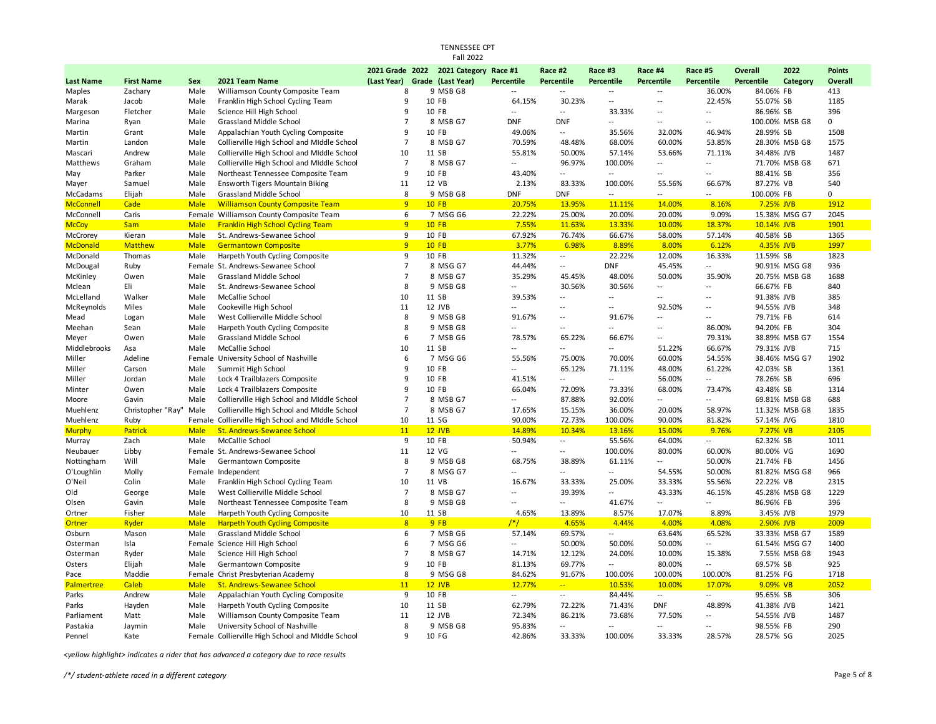|                     |                   |              |                                                                                          |                     |   | Fall 2022                     |                          |                          |                          |                          |                          |                        |                |               |
|---------------------|-------------------|--------------|------------------------------------------------------------------------------------------|---------------------|---|-------------------------------|--------------------------|--------------------------|--------------------------|--------------------------|--------------------------|------------------------|----------------|---------------|
|                     |                   |              |                                                                                          |                     |   | 2021 Grade 2022 2021 Category | Race #1                  | Race #2                  | Race #3                  | Race #4                  | Race #5                  | <b>Overall</b>         | 2022           | <b>Points</b> |
| <b>Last Name</b>    | <b>First Name</b> | Sex          | 2021 Team Name                                                                           | (Last Year)         |   | Grade (Last Year)             | Percentile               | Percentile               | <b>Percentile</b>        | Percentile               | Percentile               | Percentile             | Category       | Overall       |
| Maples              | Zachary           | Male         | Williamson County Composite Team                                                         | 8                   |   | 9 MSB G8                      | $\overline{a}$           | $\sim$ $-$               | $\overline{\phantom{a}}$ | $\overline{\phantom{a}}$ | 36.00%                   | 84.06% FB              |                | 413           |
| Marak               | Jacob             | Male         | Franklin High School Cycling Team                                                        | 9                   |   | 10 FB                         | 64.15%                   | 30.23%                   | --                       | --                       | 22.45%                   | 55.07% SB              |                | 1185          |
| Margeson            | Fletcher          | Male         | Science Hill High School                                                                 | 9                   |   | 10 FB                         |                          | $\sim$ $\sim$            | 33.33%                   | $\overline{a}$           | --                       | 86.96% SB              |                | 396           |
| Marina              | Ryan              | Male         | <b>Grassland Middle School</b>                                                           | $\overline{7}$      |   | 8 MSB G7                      | <b>DNF</b>               | <b>DNF</b>               | $\overline{a}$           | $\overline{a}$           | $\overline{a}$           |                        | 100.00% MSB G8 | 0             |
| Martin              | Grant             | Male         | Appalachian Youth Cycling Composite                                                      | 9<br>$\overline{7}$ |   | 10 FB                         | 49.06%                   | $\overline{\phantom{a}}$ | 35.56%                   | 32.00%                   | 46.94%                   | 28.99% SB              |                | 1508          |
| Martin              | Landon<br>Andrew  | Male<br>Male | Collierville High School and Middle School                                               | 10                  |   | 8 MSB G7<br>11 SB             | 70.59%<br>55.81%         | 48.48%<br>50.00%         | 68.00%<br>57.14%         | 60.00%<br>53.66%         | 53.85%<br>71.11%         | 34.48% JVB             | 28.30% MSB G8  | 1575<br>1487  |
| Mascari<br>Matthews | Graham            | Male         | Collierville High School and MIddle School<br>Collierville High School and MIddle School | $\overline{7}$      |   | 8 MSB G7                      | $\overline{a}$           | 96.97%                   | 100.00%                  | $\overline{a}$           | $\overline{a}$           |                        | 71.70% MSB G8  | 671           |
| May                 | Parker            | Male         | Northeast Tennessee Composite Team                                                       | 9                   |   | 10 FB                         | 43.40%                   | $\overline{\phantom{a}}$ | $\overline{a}$           | $\overline{a}$           |                          | 88.41% SB              |                | 356           |
| Mayer               | Samuel            | Male         | <b>Ensworth Tigers Mountain Biking</b>                                                   | 11                  |   | 12 VB                         | 2.13%                    | 83.33%                   | 100.00%                  | 55.56%                   | 66.67%                   | 87.27% VB              |                | 540           |
| McCadams            | Elijah            | Male         | Grassland Middle School                                                                  | 8                   |   | 9 MSB G8                      | DNF                      | <b>DNF</b>               | $\overline{a}$           | $\overline{a}$           | --                       | 100.00% FB             |                | 0             |
| <b>McConnell</b>    | Cade              | <b>Male</b>  | <b>Williamson County Composite Team</b>                                                  | 9                   |   | $10$ FB                       | 20.75%                   | 13.95%                   | 11.11%                   | 14.00%                   | 8.16%                    | 7.25% JVB              |                | 1912          |
| McConnell           | Caris             |              | Female Williamson County Composite Team                                                  |                     | 6 | 7 MSG G6                      | 22.22%                   | 25.00%                   | 20.00%                   | 20.00%                   | 9.09%                    |                        | 15.38% MSG G7  | 2045          |
| <b>McCoy</b>        | <b>Sam</b>        | <b>Male</b>  | <b>Franklin High School Cycling Team</b>                                                 | 9                   |   | <b>10 FB</b>                  | 7.55%                    | 11.63%                   | 13.33%                   | 10.00%                   | 18.37%                   | 10.14% JVB             |                | 1901          |
| McCrorey            | Kieran            | Male         | St. Andrews-Sewanee School                                                               |                     | 9 | 10 FB                         | 67.92%                   | 76.74%                   | 66.67%                   | 58.00%                   | 57.14%                   | 40.58% SB              |                | 1365          |
| <b>McDonald</b>     | <b>Matthew</b>    | <b>Male</b>  | <b>Germantown Composite</b>                                                              | 9                   |   | $10$ FB                       | 3.77%                    | 6.98%                    | 8.89%                    | 8.00%                    | 6.12%                    | 4.35% JVB              |                | 1997          |
| McDonald            | Thomas            | Male         | Harpeth Youth Cycling Composite                                                          | 9                   |   | 10 FB                         | 11.32%                   | $\overline{\phantom{a}}$ | 22.22%                   | 12.00%                   | 16.33%                   | 11.59% SB              |                | 1823          |
| McDougal            | Ruby              |              | Female St. Andrews-Sewanee School                                                        | $\overline{7}$      |   | 8 MSG G7                      | 44.44%                   | $\overline{a}$           | <b>DNF</b>               | 45.45%                   |                          |                        | 90.91% MSG G8  | 936           |
| McKinley            | Owen              | Male         | Grassland Middle School                                                                  | $\overline{7}$      |   | 8 MSB G7                      | 35.29%                   | 45.45%                   | 48.00%                   | 50.00%                   | 35.90%                   |                        | 20.75% MSB G8  | 1688          |
| Mclean              | Eli               | Male         | St. Andrews-Sewanee School                                                               | 8                   |   | 9 MSB G8                      | $\overline{\phantom{a}}$ | 30.56%                   | 30.56%                   | --                       | --                       | 66.67% FB              |                | 840           |
| McLelland           | Walker            | Male         | McCallie School                                                                          | 10                  |   | 11 SB                         | 39.53%                   | $\overline{a}$           |                          | $\overline{a}$           | --                       | 91.38% JVB             |                | 385           |
| McReynolds          | <b>Miles</b>      | Male         | Cookeville High School                                                                   | 11                  |   | 12 JVB                        | --                       | $\overline{a}$           |                          | 92.50%                   | --                       | 94.55% JVB             |                | 348           |
| Mead                | Logan             | Male         | West Collierville Middle School                                                          | 8                   |   | 9 MSB G8                      | 91.67%                   | $\sim$                   | 91.67%                   | $\overline{a}$           | $\overline{a}$           | 79.71% FB              |                | 614           |
| Meehan              | Sean              | Male         | Harpeth Youth Cycling Composite                                                          | 8                   |   | 9 MSB G8                      | $\overline{a}$           | $\overline{a}$           | $\overline{a}$           | $\overline{a}$           | 86.00%                   | 94.20% FB              |                | 304           |
| Meyer               | Owen              | Male         | Grassland Middle School                                                                  | 6                   |   | 7 MSB G6                      | 78.57%                   | 65.22%                   | 66.67%                   | --                       | 79.31%                   |                        | 38.89% MSB G7  | 1554          |
| Middlebrooks        | Asa               | Male         | McCallie School                                                                          | 10                  |   | 11 SB                         |                          | $\overline{a}$           | $\overline{a}$           | 51.22%                   | 66.67%                   | 79.31% JVB             |                | 715           |
| Miller              | Adeline           |              | Female University School of Nashville                                                    | 6                   |   | 7 MSG G6                      | 55.56%<br>$\overline{a}$ | 75.00%                   | 70.00%                   | 60.00%                   | 54.55%                   |                        | 38.46% MSG G7  | 1902          |
| Miller              | Carson<br>Jordan  | Male         | Summit High School                                                                       | 9<br>9              |   | 10 FB<br>10 FB                | 41.51%                   | 65.12%<br>$\overline{a}$ | 71.11%<br>$\overline{a}$ | 48.00%<br>56.00%         | 61.22%<br>--             | 42.03% SB<br>78.26% SB |                | 1361<br>696   |
| Miller<br>Minter    | Owen              | Male<br>Male | Lock 4 Trailblazers Composite<br>Lock 4 Trailblazers Composite                           | 9                   |   | 10 FB                         | 66.04%                   | 72.09%                   | 73.33%                   | 68.00%                   | 73.47%                   | 43.48% SB              |                | 1314          |
| Moore               | Gavin             | Male         | Collierville High School and MIddle School                                               | $\overline{7}$      |   | 8 MSB G7                      | $\overline{a}$           | 87.88%                   | 92.00%                   | --                       |                          |                        | 69.81% MSB G8  | 688           |
| Muehlenz            | Christopher "Ray" | Male         | Collierville High School and MIddle School                                               | $\overline{7}$      |   | 8 MSB G7                      | 17.65%                   | 15.15%                   | 36.00%                   | 20.00%                   | 58.97%                   |                        | 11.32% MSB G8  | 1835          |
| Muehlenz            | Ruby              |              | Female Collierville High School and Middle School                                        | 10                  |   | 11 SG                         | 90.00%                   | 72.73%                   | 100.00%                  | 90.00%                   | 81.82%                   | 57.14% JVG             |                | 1810          |
| <b>Murphy</b>       | <b>Patrick</b>    | <b>Male</b>  | <b>St. Andrews-Sewanee School</b>                                                        | 11                  |   | $12$ JVB                      | 14.89%                   | 10.34%                   | 13.16%                   | 15.00%                   | 9.76%                    | 7.27% VB               |                | 2105          |
| Murray              | Zach              | Male         | McCallie School                                                                          | 9                   |   | 10 FB                         | 50.94%                   | $\sim$                   | 55.56%                   | 64.00%                   |                          | 62.32% SB              |                | 1011          |
| Neubauer            | Libby             |              | Female St. Andrews-Sewanee School                                                        | 11                  |   | 12 VG                         | $\overline{a}$           | $\overline{a}$           | 100.00%                  | 80.00%                   | 60.00%                   | 80.00% VG              |                | 1690          |
| Nottingham          | Will              | Male         | Germantown Composite                                                                     | 8                   |   | 9 MSB G8                      | 68.75%                   | 38.89%                   | 61.11%                   | $\overline{a}$           | 50.00%                   | 21.74% FB              |                | 1456          |
| O'Loughlin          | Molly             |              | Female Independent                                                                       | $\overline{7}$      |   | 8 MSG G7                      | $\overline{a}$           | $\overline{a}$           | --                       | 54.55%                   | 50.00%                   |                        | 81.82% MSG G8  | 966           |
| O'Neil              | Colin             | Male         | Franklin High School Cycling Team                                                        | 10                  |   | 11 VB                         | 16.67%                   | 33.33%                   | 25.00%                   | 33.33%                   | 55.56%                   | 22.22% VB              |                | 2315          |
| Old                 | George            | Male         | West Collierville Middle School                                                          | $\overline{7}$      |   | 8 MSB G7                      | $-$                      | 39.39%                   |                          | 43.33%                   | 46.15%                   |                        | 45.28% MSB G8  | 1229          |
| Olsen               | Gavin             | Male         | Northeast Tennessee Composite Team                                                       | 8                   |   | 9 MSB G8                      | $\overline{a}$           | $\overline{a}$           | 41.67%                   | $\overline{a}$           | Ξ.                       | 86.96% FB              |                | 396           |
| Ortner              | Fisher            | Male         | Harpeth Youth Cycling Composite                                                          | 10                  |   | 11 SB                         | 4.65%                    | 13.89%                   | 8.57%                    | 17.07%                   | 8.89%                    | 3.45% JVB              |                | 1979          |
| Ortner              | Ryder             | <b>Male</b>  | <b>Harpeth Youth Cycling Composite</b>                                                   | 8                   |   | 9FB                           | $/*/$                    | 4.65%                    | 4.44%                    | 4.00%                    | 4.08%                    | 2.90% JVB              |                | 2009          |
| Osburn              | Mason             | Male         | <b>Grassland Middle School</b>                                                           | 6                   |   | 7 MSB G6                      | 57.14%                   | 69.57%                   | $\overline{\phantom{a}}$ | 63.64%                   | 65.52%                   |                        | 33.33% MSB G7  | 1589          |
| Osterman            | Isla              |              | Female Science Hill High School                                                          | 6<br>$\overline{7}$ |   | 7 MSG G6                      | --                       | 50.00%                   | 50.00%                   | 50.00%                   |                          |                        | 61.54% MSG G7  | 1400          |
| Osterman            | Ryder<br>Elijah   | Male         | Science Hill High School                                                                 | 9                   |   | 8 MSB G7<br>10 FB             | 14.71%<br>81.13%         | 12.12%<br>69.77%         | 24.00%<br>$\overline{a}$ | 10.00%<br>80.00%         | 15.38%<br>$\overline{a}$ | 69.57% SB              | 7.55% MSB G8   | 1943<br>925   |
| Osters<br>Pace      | Maddie            | Male         | Germantown Composite<br>Female Christ Presbyterian Academy                               | 8                   |   | 9 MSG G8                      | 84.62%                   | 91.67%                   | 100.00%                  | 100.00%                  | 100.00%                  | 81.25% FG              |                | 1718          |
| <b>Palmertree</b>   | <b>Caleb</b>      | <b>Male</b>  | <b>St. Andrews-Sewanee School</b>                                                        | 11                  |   | $12$ JVB                      | 12.77%                   | $\frac{1}{2}$            | 10.53%                   | 10.00%                   | 17.07%                   | 9.09% VB               |                | 2052          |
| Parks               | Andrew            | Male         | Appalachian Youth Cycling Composite                                                      | 9                   |   | 10 FB                         | $\overline{a}$           | $\sim$                   | 84.44%                   | $\overline{\phantom{a}}$ |                          | 95.65% SB              |                | 306           |
| Parks               | Hayden            | Male         | Harpeth Youth Cycling Composite                                                          | 10                  |   | 11 SB                         | 62.79%                   | 72.22%                   | 71.43%                   | <b>DNF</b>               | 48.89%                   | 41.38% JVB             |                | 1421          |
| Parliament          | Matt              | Male         | Williamson County Composite Team                                                         | 11                  |   | 12 JVB                        | 72.34%                   | 86.21%                   | 73.68%                   | 77.50%                   | --                       | 54.55% JVB             |                | 1487          |
| Pastakia            | Jaymin            | Male         | University School of Nashville                                                           | 8                   |   | 9 MSB G8                      | 95.83%                   | $\overline{a}$           | $\overline{a}$           | $\overline{a}$           | $\overline{a}$           | 98.55% FB              |                | 290           |
| Pennel              | Kate              |              | Female Collierville High School and MIddle School                                        | 9                   |   | 10 FG                         | 42.86%                   | 33.33%                   | 100.00%                  | 33.33%                   | 28.57%                   | 28.57% SG              |                | 2025          |

TENNESSEE CPT

*<yellow highlight> indicates a rider that has advanced a category due to race results*

*/\*/ student-athlete raced in a different category* Page 5 of 8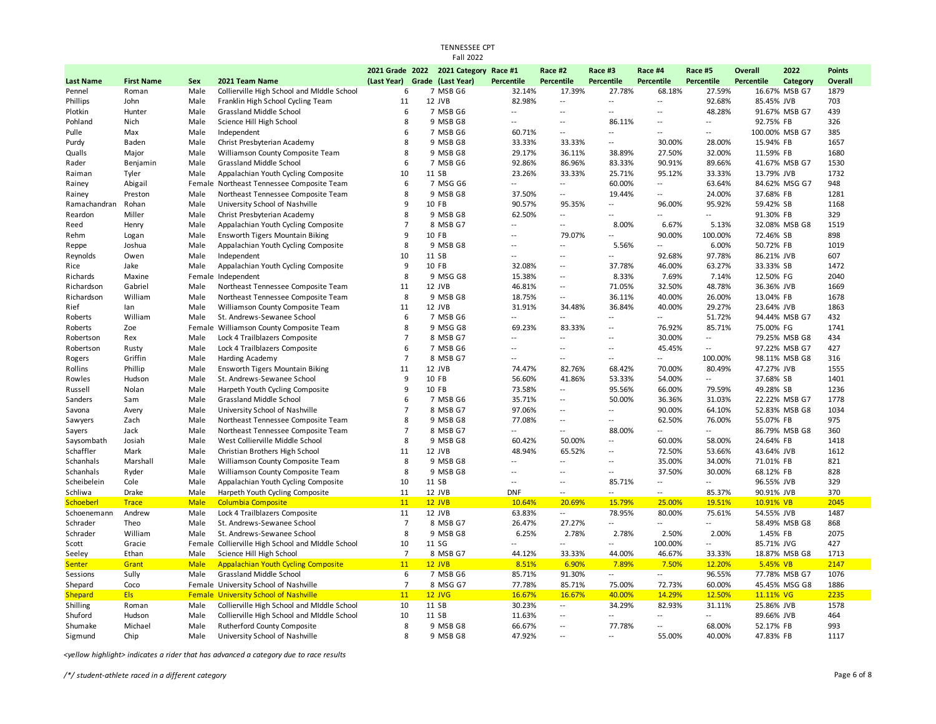|                   |                   |              |                                                                      |                | <b>Fall 2022</b>              |                          |                                    |                          |                          |                                    |            |                                |                |
|-------------------|-------------------|--------------|----------------------------------------------------------------------|----------------|-------------------------------|--------------------------|------------------------------------|--------------------------|--------------------------|------------------------------------|------------|--------------------------------|----------------|
|                   |                   |              |                                                                      |                | 2021 Grade 2022 2021 Category | Race #1                  | Race #2                            | Race #3                  | Race #4                  | Race #5                            | Overall    | 2022                           | <b>Points</b>  |
| <b>Last Name</b>  | <b>First Name</b> | Sex          | 2021 Team Name                                                       | (Last Year)    | Grade (Last Year)             | Percentile               | Percentile                         | Percentile               | Percentile               | Percentile                         | Percentile | Category                       | <b>Overall</b> |
| Pennel            | Roman             | Male         | Collierville High School and Middle School                           | 6              | 7 MSB G6                      | 32.14%                   | 17.39%                             | 27.78%                   | 68.18%                   | 27.59%                             |            | 16.67% MSB G7                  | 1879           |
| Phillips          | John              | Male         | Franklin High School Cycling Team                                    | 11             | 12 JVB                        | 82.98%                   | $\overline{\phantom{a}}$           | $\overline{\phantom{a}}$ | $\overline{a}$           | 92.68%                             | 85.45% JVB |                                | 703            |
| Plotkin           | Hunter            | Male         | Grassland Middle School                                              | 6              | 7 MSB G6                      | $\overline{a}$           | $\overline{a}$                     | $\overline{a}$           | $\overline{a}$           | 48.28%                             |            | 91.67% MSB G7                  | 439            |
| Pohland           | Nich              | Male         | Science Hill High School                                             | 8              | 9 MSB G8                      | $\overline{a}$           | $\overline{a}$                     | 86.11%                   | $\overline{a}$           | $\overline{a}$                     | 92.75% FB  |                                | 326            |
| Pulle             | Max               | Male         | Independent                                                          | 6              | 7 MSB G6                      | 60.71%                   | $\overline{\phantom{a}}$           | --                       | $\overline{a}$           | $\overline{a}$                     |            | 100.00% MSB G7                 | 385            |
| Purdy             | Baden             | Male         | Christ Presbyterian Academy                                          | 8              | 9 MSB G8                      | 33.33%                   | 33.33%                             | $\overline{\phantom{a}}$ | 30.00%                   | 28.00%                             | 15.94% FB  |                                | 1657           |
| Qualls            | Major             | Male         | Williamson County Composite Team                                     | 8              | 9 MSB G8                      | 29.17%                   | 36.11%                             | 38.89%                   | 27.50%                   | 32.00%                             | 11.59% FB  |                                | 1680           |
| Rader             | Benjamin          | Male         | Grassland Middle School                                              | 6              | 7 MSB G6                      | 92.86%                   | 86.96%                             | 83.33%                   | 90.91%                   | 89.66%                             |            | 41.67% MSB G7                  | 1530           |
| Raiman            | Tyler             | Male         | Appalachian Youth Cycling Composite                                  | 10             | 11 SB                         | 23.26%                   | 33.33%                             | 25.71%                   | 95.12%                   | 33.33%                             | 13.79% JVB |                                | 1732           |
| Rainey            | Abigail           |              | Female Northeast Tennessee Composite Team                            | 6              | 7 MSG G6                      | $\overline{a}$           | $\overline{a}$                     | 60.00%                   | $\overline{\phantom{a}}$ | 63.64%                             |            | 84.62% MSG G7                  | 948            |
| Rainey            | Preston           | Male         | Northeast Tennessee Composite Team                                   | 8              | 9 MSB G8                      | 37.50%                   | $\overline{a}$                     | 19.44%                   | $\overline{a}$           | 24.00%                             | 37.68% FB  |                                | 1281           |
| Ramachandran      | Rohan             | Male         | University School of Nashville                                       | 9              | 10 FB                         | 90.57%                   | 95.35%                             | $\overline{a}$           | 96.00%                   | 95.92%                             | 59.42% SB  |                                | 1168           |
| Reardon           | Miller            | Male         | Christ Presbyterian Academy                                          | 8              | 9 MSB G8                      | 62.50%                   | $\overline{a}$                     | $\overline{a}$           | $\overline{a}$           | $\overline{a}$                     | 91.30% FB  |                                | 329            |
| Reed              | Henry             | Male         | Appalachian Youth Cycling Composite                                  | $\overline{7}$ | 8 MSB G7                      | $\overline{a}$           | $\overline{\phantom{a}}$           | 8.00%                    | 6.67%                    | 5.13%                              |            | 32.08% MSB G8                  | 1519           |
| Rehm              | Logan             | Male         | <b>Ensworth Tigers Mountain Biking</b>                               | 9              | 10 FB                         | $\overline{a}$           | 79.07%                             | --                       | 90.00%                   | 100.00%                            | 72.46% SB  |                                | 898            |
| Reppe             | Joshua            | Male         | Appalachian Youth Cycling Composite                                  | 8              | 9 MSB G8                      | $\overline{a}$           | $-$                                | 5.56%                    | н.                       | 6.00%                              | 50.72% FB  |                                | 1019           |
| Reynolds          | Owen              | Male         | Independent                                                          | 10             | 11 SB                         | $\overline{a}$           | $\overline{a}$                     | $\overline{\phantom{a}}$ | 92.68%                   | 97.78%                             | 86.21% JVB |                                | 607            |
| Rice              | Jake              | Male         | Appalachian Youth Cycling Composite                                  | $\mathbf{q}$   | 10 FB                         | 32.08%                   | $\overline{a}$                     | 37.78%                   | 46.00%                   | 63.27%                             | 33.33% SB  |                                | 1472           |
| Richards          | Maxine            |              | Female Independent                                                   | 8              | 9 MSG G8                      | 15.38%                   | $\overline{a}$                     | 8.33%                    | 7.69%                    | 7.14%                              | 12.50% FG  |                                | 2040           |
| Richardson        | Gabriel           | Male         | Northeast Tennessee Composite Team                                   | 11             | 12 JVB                        | 46.81%                   | $\overline{\phantom{a}}$           | 71.05%                   | 32.50%                   | 48.78%                             | 36.36% JVB |                                | 1669           |
| Richardson        | William           | Male         | Northeast Tennessee Composite Team                                   | 8              | 9 MSB G8                      | 18.75%                   | $\overline{\phantom{a}}$           | 36.11%                   | 40.00%                   | 26.00%                             | 13.04% FB  |                                | 1678           |
| Rief              | lan               | Male         | Williamson County Composite Team                                     | 11             | 12 JVB                        | 31.91%                   | 34.48%                             | 36.84%                   | 40.00%                   | 29.27%                             | 23.64% JVB |                                | 1863           |
| Roberts           | William           | Male         | St. Andrews-Sewanee School                                           | 6              | 7 MSB G6                      | $\overline{\phantom{a}}$ | $\overline{\phantom{a}}$           | --                       | $\sim$                   | 51.72%                             |            | 94.44% MSB G7                  | 432            |
| Roberts           | Zoe               |              | Female Williamson County Composite Team                              | 8              | 9 MSG G8                      | 69.23%                   | 83.33%                             | $\overline{a}$           | 76.92%                   | 85.71%                             | 75.00% FG  |                                | 1741           |
| Robertson         | Rex               | Male         | Lock 4 Trailblazers Composite                                        | $\overline{7}$ | 8 MSB G7                      | $\overline{a}$           | $\overline{a}$                     | $\overline{a}$           | 30.00%                   | $\overline{\phantom{a}}$           |            | 79.25% MSB G8                  | 434            |
| Robertson         | Rusty             | Male         | Lock 4 Trailblazers Composite                                        | 6              | 7 MSB G6                      | $\overline{a}$           | $\overline{a}$                     | $\overline{\phantom{a}}$ | 45.45%<br>$\overline{a}$ | $\overline{\phantom{a}}$           |            | 97.22% MSB G7                  | 427            |
| Rogers            | Griffin           | Male         | Harding Academy                                                      | $\overline{7}$ | 8 MSB G7                      | $\overline{a}$           | $-$                                | $\overline{a}$           |                          | 100.00%                            |            | 98.11% MSB G8                  | 316            |
| Rollins           | Phillip           | Male         | <b>Ensworth Tigers Mountain Biking</b>                               | 11<br>9        | 12 JVB<br>10 FB               | 74.47%                   | 82.76%                             | 68.42%                   | 70.00%                   | 80.49%<br>$\overline{\phantom{a}}$ | 47.27% JVB |                                | 1555<br>1401   |
| Rowles            | Hudson            | Male         | St. Andrews-Sewanee School                                           | 9              |                               | 56.60%                   | 41.86%<br>$\overline{\phantom{a}}$ | 53.33%                   | 54.00%                   |                                    | 37.68% SB  |                                |                |
| Russell           | Nolan             | Male         | Harpeth Youth Cycling Composite                                      | 6              | 10 FB                         | 73.58%                   | $\sim$                             | 95.56%<br>50.00%         | 66.00%                   | 79.59%<br>31.03%                   | 49.28% SB  |                                | 1236<br>1778   |
| Sanders           | Sam               | Male         | Grassland Middle School                                              | $\overline{7}$ | 7 MSB G6<br>8 MSB G7          | 35.71%<br>97.06%         | $\overline{\phantom{a}}$           | --                       | 36.36%<br>90.00%         | 64.10%                             |            | 22.22% MSB G7<br>52.83% MSB G8 | 1034           |
| Savona            | Avery<br>Zach     | Male<br>Male | University School of Nashville<br>Northeast Tennessee Composite Team | 8              | 9 MSB G8                      | 77.08%                   | $\overline{a}$                     | $\overline{a}$           | 62.50%                   | 76.00%                             | 55.07% FB  |                                | 975            |
| Sawyers<br>Sayers | Jack              | Male         | Northeast Tennessee Composite Team                                   | $\overline{7}$ | 8 MSB G7                      | $-$                      | $\overline{a}$                     | 88.00%                   | $\overline{a}$           | $\overline{a}$                     |            | 86.79% MSB G8                  | 360            |
| Saysombath        | Josiah            | Male         | West Collierville Middle School                                      | 8              | 9 MSB G8                      | 60.42%                   | 50.00%                             | $\overline{\phantom{a}}$ | 60.00%                   | 58.00%                             | 24.64% FB  |                                | 1418           |
| Schaffler         | Mark              | Male         | Christian Brothers High School                                       | 11             | 12 JVB                        | 48.94%                   | 65.52%                             | $\overline{\phantom{a}}$ | 72.50%                   | 53.66%                             | 43.64% JVB |                                | 1612           |
| Schanhals         | Marshall          | Male         | Williamson County Composite Team                                     | 8              | 9 MSB G8                      | $\overline{a}$           | $\overline{a}$                     | $\overline{a}$           | 35.00%                   | 34.00%                             | 71.01% FB  |                                | 821            |
| Schanhals         | Ryder             | Male         | Williamson County Composite Team                                     | 8              | 9 MSB G8                      | $\overline{a}$           |                                    | $\overline{\phantom{a}}$ | 37.50%                   | 30.00%                             | 68.12% FB  |                                | 828            |
| Scheibelein       | Cole              | Male         | Appalachian Youth Cycling Composite                                  | 10             | 11 SB                         | $\overline{a}$           | $\overline{a}$                     | 85.71%                   | $\overline{\phantom{a}}$ | $\overline{a}$                     | 96.55% JVB |                                | 329            |
| Schliwa           | Drake             | Male         | Harpeth Youth Cycling Composite                                      | 11             | 12 JVB                        | <b>DNF</b>               | $\overline{a}$                     | $-$                      | $\overline{\phantom{a}}$ | 85.37%                             | 90.91% JVB |                                | 370            |
| Schoeberl         | <b>Trace</b>      | <b>Male</b>  | Columbia Composite                                                   | 11             | $12$ JVB                      | 10.64%                   | 20.69%                             | 15.79%                   | 25.00%                   | 19.51%                             | 10.91% VB  |                                | 2045           |
| Schoenemann       | Andrew            | Male         | Lock 4 Trailblazers Composite                                        | 11             | 12 JVB                        | 63.83%                   | $\sim$ $\sim$                      | 78.95%                   | 80.00%                   | 75.61%                             | 54.55% JVB |                                | 1487           |
| Schrader          | Theo              | Male         | St. Andrews-Sewanee School                                           | $\overline{7}$ | 8 MSB G7                      | 26.47%                   | 27.27%                             | $\overline{a}$           | $\sim$                   | $\overline{a}$                     |            | 58.49% MSB G8                  | 868            |
| Schrader          | William           | Male         | St. Andrews-Sewanee School                                           | 8              | 9 MSB G8                      | 6.25%                    | 2.78%                              | 2.78%                    | 2.50%                    | 2.00%                              | 1.45% FB   |                                | 2075           |
| Scott             | Gracie            |              | Female Collierville High School and MIddle School                    | 10             | 11 SG                         | $\overline{a}$           | $\overline{a}$                     | $\overline{a}$           | 100.00%                  | $\overline{a}$                     | 85.71% JVG |                                | 427            |
| Seeley            | Ethan             | Male         | Science Hill High School                                             | $\overline{7}$ | 8 MSB G7                      | 44.12%                   | 33.33%                             | 44.00%                   | 46.67%                   | 33.33%                             |            | 18.87% MSB G8                  | 1713           |
| <b>Senter</b>     | Grant             | <b>Male</b>  | <b>Appalachian Youth Cycling Composite</b>                           | 11             | <b>12 JVB</b>                 | 8.51%                    | 6.90%                              | 7.89%                    | 7.50%                    | 12.20%                             | 5.45% VB   |                                | 2147           |
| Sessions          | Sully             | Male         | Grassland Middle School                                              | 6              | 7 MSB G6                      | 85.71%                   | 91.30%                             | $\overline{\phantom{a}}$ | $\overline{\phantom{a}}$ | 96.55%                             |            | 77.78% MSB G7                  | 1076           |
| Shepard           | Coco              |              | Female University School of Nashville                                | $\overline{7}$ | 8 MSG G7                      | 77.78%                   | 85.71%                             | 75.00%                   | 72.73%                   | 60.00%                             |            | 45.45% MSG G8                  | 1886           |
| <b>Shepard</b>    | Els:              |              | <b>Female University School of Nashville</b>                         | 11             | <b>12 JVG</b>                 | 16.67%                   | 16.67%                             | 40.00%                   | 14.29%                   | 12.50%                             | 11.11% VG  |                                | 2235           |
| Shilling          | Roman             | Male         | Collierville High School and MIddle School                           | 10             | 11 SB                         | 30.23%                   | $\overline{a}$                     | 34.29%                   | 82.93%                   | 31.11%                             | 25.86% JVB |                                | 1578           |
| Shuford           | Hudson            | Male         | Collierville High School and MIddle School                           | 10             | 11 SB                         | 11.63%                   | $\overline{a}$                     | $\overline{a}$           | $\overline{a}$           | $\overline{a}$                     | 89.66% JVB |                                | 464            |
| Shumake           | Michael           | Male         | Rutherford County Composite                                          | 8              | 9 MSB G8                      | 66.67%                   | $\overline{a}$                     | 77.78%                   | $\overline{a}$           | 68.00%                             | 52.17% FB  |                                | 993            |

Sigmund Chip Male University School of Nashville 3 8 9 MSB G8 47.92% -- - - - 55.00% 40.00% 47.83% FB 1117

TENNESSEE CPT

*<yellow highlight> indicates a rider that has advanced a category due to race results*

*/\*/ student-athlete raced in a different category* Page 6 of 8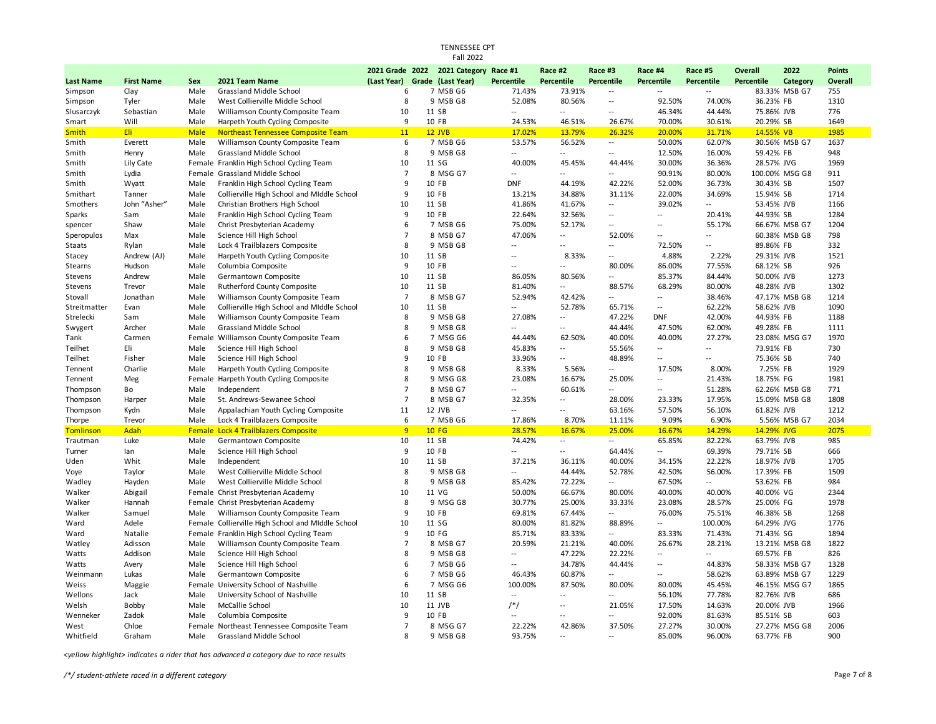|                   |                      |              |                                                                             |                    | 2021 Grade 2022 2021 Category Race #1 |                          | Race #2                         | Race #3                            | Race #4                                    | Race #5                  | Overall           | 2022           | <b>Points</b> |
|-------------------|----------------------|--------------|-----------------------------------------------------------------------------|--------------------|---------------------------------------|--------------------------|---------------------------------|------------------------------------|--------------------------------------------|--------------------------|-------------------|----------------|---------------|
| <b>Last Name</b>  | <b>First Name</b>    | Sex          | 2021 Team Name                                                              | (Last Year)        | Grade (Last Year)                     | Percentile               | Percentile                      | <b>Percentile</b>                  | <b>Percentile</b>                          | <b>Percentile</b>        | <b>Percentile</b> | Category       | Overall       |
| Simpson           | Clay                 | Male         | Grassland Middle School                                                     | 6                  | 7 MSB G6                              | 71.43%                   | 73.91%                          | $\overline{\phantom{a}}$           | $\overline{a}$                             | $\overline{a}$           |                   | 83.33% MSB G7  | 755           |
| Simpson           | Tyler                | Male         | West Collierville Middle School                                             | 8                  | 9 MSB G8                              | 52.08%                   | 80.56%                          | $\overline{\phantom{a}}$           | 92.50%                                     | 74.00%                   | 36.23% FB         |                | 1310          |
| Slusarczyk        | Sebastian            | Male         | Williamson County Composite Team                                            | 10                 | 11 SB                                 | $\sim$                   | $\sim$                          | $\overline{a}$                     | 46.34%                                     | 44.44%                   | 75.86% JVB        |                | 776           |
| Smart             | Will                 | Male         | Harpeth Youth Cycling Composite                                             | 9                  | 10 FB                                 | 24.53%                   | 46.51%                          | 26.67%                             | 70.00%                                     | 30.61%                   | 20.29% SB         |                | 1649          |
| <b>Smith</b>      | Eli -                | <b>Male</b>  | <b>Northeast Tennessee Composite Team</b>                                   | 11                 | 12 JVB                                | 17.02%                   | 13.79%                          | 26.32%                             | 20.00%                                     | 31.71%                   | 14.55% VB         |                | 1985          |
| Smith             | Everett              | Male         | Williamson County Composite Team                                            | 6                  | 7 MSB G6                              | 53.57%                   | 56.52%                          | $\sim$                             | 50.00%                                     | 62.07%                   |                   | 30.56% MSB G7  | 1637          |
| Smith             | Henry                | Male         | Grassland Middle School                                                     | 8                  | 9 MSB G8                              | $\overline{a}$           | $\overline{a}$                  | $\overline{\phantom{a}}$           | 12.50%                                     | 16.00%                   | 59.42% FB         |                | 948           |
| Smith             | Lily Cate            |              | Female Franklin High School Cycling Team                                    | 10                 | 11 SG                                 | 40.00%                   | 45.45%                          | 44.44%                             | 30.00%                                     | 36.36%                   | 28.57% JVG        |                | 1969          |
| Smith             | Lydia                |              | Female Grassland Middle School                                              | $\overline{7}$     | 8 MSG G7                              | $\overline{\phantom{a}}$ | $\overline{\phantom{a}}$        | $\overline{\phantom{a}}$           | 90.91%                                     | 80.00%                   |                   | 100.00% MSG G8 | 911           |
| Smith             | Wyatt                | Male         | Franklin High School Cycling Team                                           | 9                  | 10 FB                                 | <b>DNF</b>               | 44.19%                          | 42.22%                             | 52.00%                                     | 36.73%                   | 30.43% SB         |                | 1507          |
| Smithart          | Tanner               | Male         | Collierville High School and MIddle School                                  | 9                  | 10 FB                                 | 13.21%                   | 34.88%                          | 31.11%                             | 22.00%                                     | 34.69%                   | 15.94% SB         |                | 1714          |
| Smothers          | John "Asher"         | Male         | Christian Brothers High School                                              | 10<br>$\mathbf{q}$ | 11 SB                                 | 41.86%                   | 41.67%                          | $\overline{\phantom{a}}$           | 39.02%                                     | $\overline{a}$           | 53.45% JVB        |                | 1166          |
| Sparks            | Sam                  | Male         | Franklin High School Cycling Team                                           |                    | 10 FB                                 | 22.64%                   | 32.56%                          | $\overline{a}$                     | $\overline{a}$                             | 20.41%                   | 44.93% SB         |                | 1284          |
| spencer           | Shaw                 | Male         | Christ Presbyterian Academy                                                 | 6<br>7             | 7 MSB G6<br>8 MSB G7                  | 75.00%                   | 52.17%<br>$\overline{a}$        | $\sim$                             | $\overline{\phantom{a}}$<br>$\overline{a}$ | 55.17%<br>$\overline{a}$ |                   | 66.67% MSB G7  | 1204<br>798   |
| Speropulos        | Max                  | Male         | Science Hill High School                                                    | 8                  | 9 MSB G8                              | 47.06%<br>$\overline{a}$ | $\overline{a}$                  | 52.00%<br>$\overline{\phantom{a}}$ |                                            | $\overline{\phantom{a}}$ | 89.86% FB         | 60.38% MSB G8  | 332           |
| Staats            | Rylan<br>Andrew (AJ) | Male<br>Male | Lock 4 Trailblazers Composite<br>Harpeth Youth Cycling Composite            | 10                 | 11 SB                                 | $\overline{a}$           | 8.33%                           | $\overline{\phantom{a}}$           | 72.50%<br>4.88%                            | 2.22%                    | 29.31% JVB        |                | 1521          |
| Stacey<br>Stearns | Hudson               | Male         | Columbia Composite                                                          | 9                  | 10 FB                                 | 44                       | $\overline{\phantom{a}}$        | 80.00%                             | 86.00%                                     | 77.55%                   | 68.12% SB         |                | 926           |
| Stevens           | Andrew               | Male         | Germantown Composite                                                        | 10                 | 11 SB                                 | 86.05%                   | 80.56%                          | $\overline{a}$                     | 85.37%                                     | 84.44%                   | 50.00% JVB        |                | 1273          |
| Stevens           | Trevor               | Male         | Rutherford County Composite                                                 | 10                 | 11 SB                                 | 81.40%                   | $-$                             | 88.57%                             | 68.29%                                     | 80.00%                   | 48.28% JVB        |                | 1302          |
| Stovall           | Jonathan             | Male         | Williamson County Composite Team                                            | $\overline{7}$     | 8 MSB G7                              | 52.94%                   | 42.42%                          | $\overline{\phantom{a}}$           | $\overline{a}$                             | 38.46%                   |                   | 47.17% MSB G8  | 1214          |
| Streitmatter      | Evan                 | Male         | Collierville High School and MIddle School                                  | 10                 | 11 SB                                 | $\sim$                   | 52.78%                          | 65.71%                             | $\overline{a}$                             | 62.22%                   | 58.62% JVB        |                | 1090          |
| Strelecki         | Sam                  | Male         | Williamson County Composite Team                                            | 8                  | 9 MSB G8                              | 27.08%                   | $\sim$                          | 47.22%                             | <b>DNF</b>                                 | 42.00%                   | 44.93% FB         |                | 1188          |
| Swygert           | Archer               | Male         | Grassland Middle School                                                     | 8                  | 9 MSB G8                              | $\ddot{\phantom{a}}$     | $\mathcal{L}_{\mathcal{A}}$     | 44.44%                             | 47.50%                                     | 62.00%                   | 49.28% FB         |                | 1111          |
| Tank              | Carmen               |              | Female Williamson County Composite Team                                     | 6                  | 7 MSG G6                              | 44.44%                   | 62.50%                          | 40.00%                             | 40.00%                                     | 27.27%                   |                   | 23.08% MSG G7  | 1970          |
| Teilhet           | Eli                  | Male         | Science Hill High School                                                    | 8                  | 9 MSB G8                              | 45.83%                   | $\sim$                          | 55.56%                             | $\sim$                                     | $\overline{a}$           | 73.91% FB         |                | 730           |
| Teilhet           | Fisher               | Male         | Science Hill High School                                                    | 9                  | 10 FB                                 | 33.96%                   | $\mathbb{L}$ .                  | 48.89%                             | $\overline{\phantom{a}}$                   | $\overline{\phantom{a}}$ | 75.36% SB         |                | 740           |
| Tennent           | Charlie              | Male         | Harpeth Youth Cycling Composite                                             | 8                  | 9 MSB G8                              | 8.33%                    | 5.56%                           | $\overline{\phantom{a}}$           | 17.50%                                     | 8.00%                    | 7.25% FB          |                | 1929          |
| Tennent           | Meg                  |              | Female Harpeth Youth Cycling Composite                                      | 8                  | 9 MSG G8                              | 23.08%                   | 16.67%                          | 25.00%                             | $\overline{a}$                             | 21.43%                   | 18.75% FG         |                | 1981          |
| Thompson          | Bo                   | Male         | Independent                                                                 | 7                  | 8 MSB G7                              | $\sim$                   | 60.61%                          | $\overline{\phantom{a}}$           | $\sim$                                     | 51.28%                   |                   | 62.26% MSB G8  | 771           |
| Thompson          | Harper               | Male         | St. Andrews-Sewanee School                                                  | $\overline{7}$     | 8 MSB G7                              | 32.35%                   | $\sim$                          | 28.00%                             | 23.33%                                     | 17.95%                   |                   | 15.09% MSB G8  | 1808          |
| Thompson          | Kydn                 | Male         | Appalachian Youth Cycling Composite                                         | 11                 | 12 JVB                                | $\sim$ $\sim$            | $\sim$ $\sim$                   | 63.16%                             | 57.50%                                     | 56.10%                   | 61.82% JVB        |                | 1212          |
| Thorpe            | Trevor               | Male         | Lock 4 Trailblazers Composite                                               | 6                  | 7 MSB G6                              | 17.86%                   | 8.70%                           | 11.11%                             | 9.09%                                      | 6.90%                    |                   | 5.56% MSB G7   | 2034          |
| <b>Tomlinson</b>  | Adah                 |              | Female Lock 4 Trailblazers Composite                                        | $\overline{9}$     | <b>10 FG</b>                          | 28.57%                   | 16.67%                          | 25.00%                             | 16.67%                                     | 14.29%                   | 14.29% JVG        |                | 2075          |
| Trautman          | Luke                 | Male         | Germantown Composite                                                        | 10                 | 11 SB                                 | 74.42%                   | $\sim$                          | $\overline{\phantom{a}}$           | 65.85%                                     | 82.22%                   | 63.79% JVB        |                | 985           |
| Turner            | lan                  | Male         | Science Hill High School                                                    | 9                  | 10 FB                                 | $\overline{\phantom{a}}$ | $\mathcal{L}_{\mathcal{A}}$     | 64.44%                             | $\sim$                                     | 69.39%                   | 79.71% SB         |                | 666           |
| Uden              | Whit                 | Male         | Independent                                                                 | 10                 | 11 SB                                 | 37.21%                   | 36.11%                          | 40.00%                             | 34.15%                                     | 22.22%                   | 18.97% JVB        |                | 1705          |
| Voye              | Taylor               | Male         | West Collierville Middle School                                             | 8                  | 9 MSB G8                              |                          | 44.44%                          | 52.78%                             | 42.50%                                     | 56.00%                   | 17.39% FB         |                | 1509          |
| Wadley            | Hayden               | Male         | West Collierville Middle School                                             | 8                  | 9 MSB G8                              | 85.42%                   | 72.22%                          | $\sim$                             | 67.50%                                     | $\sim$                   | 53.62% FB         |                | 984           |
| Walker            | Abigail              |              | Female Christ Presbyterian Academy                                          | 10                 | 11 VG                                 | 50.00%                   | 66.67%                          | 80.00%                             | 40.00%                                     | 40.00%                   | 40.00% VG         |                | 2344          |
| Walker            | Hannah               |              | Female Christ Presbyterian Academy                                          | 8                  | 9 MSG G8                              | 30.77%                   | 25.00%                          | 33.33%                             | 23.08%                                     | 28.57%                   | 25.00% FG         |                | 1978          |
| Walker            | Samuel               | Male         | Williamson County Composite Team                                            | 9                  | 10 FB                                 | 69.81%                   | 67.44%                          | $\overline{\phantom{a}}$           | 76.00%                                     | 75.51%                   | 46.38% SB         |                | 1268          |
| Ward              | Adele                |              | Female Collierville High School and Middle School                           | 10                 | 11 SG                                 | 80.00%                   | 81.82%                          | 88.89%                             | $\overline{a}$                             | 100.00%                  | 64.29% JVG        |                | 1776          |
| Ward              | Natalie              |              | Female Franklin High School Cycling Team                                    | 9                  | 10 FG                                 | 85.71%                   | 83.33%                          | $\overline{\phantom{a}}$           | 83.33%                                     | 71.43%                   | 71.43% SG         |                | 1894          |
| Watley            | Adisson              | Male         | Williamson County Composite Team                                            | $\overline{7}$     | 8 MSB G7                              | 20.59%                   | 21.21%                          | 40.00%                             | 26.67%                                     | 28.21%                   |                   | 13.21% MSB G8  | 1822          |
| Watts             | Addison              | Male         | Science Hill High School                                                    | 8                  | 9 MSB G8                              | $\sim$                   | 47.22%                          | 22.22%                             | $\sim$                                     | $\overline{\phantom{a}}$ | 69.57% FB         |                | 826           |
| Watts             | Avery                | Male         | Science Hill High School                                                    | 6                  | 7 MSB G6                              | $\sim$                   | 34.78%                          | 44.44%                             | $\sim$                                     | 44.83%                   |                   | 58.33% MSB G7  | 1328          |
| Weinmann          | Lukas                | Male         | Germantown Composite                                                        | 6                  | 7 MSB G6                              | 46.43%                   | 60.87%                          | $\overline{\phantom{a}}$           | $\sim$                                     | 58.62%                   |                   | 63.89% MSB G7  | 1229          |
| Weiss             | Maggie               |              | Female University School of Nashville                                       | 6                  | 7 MSG G6                              | 100.00%                  | 87.50%                          | 80.00%                             | 80.00%                                     | 45.45%                   |                   | 46.15% MSG G7  | 1865          |
| Wellons           | Jack                 | Male         | University School of Nashville                                              | 10                 | 11 SB                                 | $\sim$                   | $\sim$ $\sim$                   | $\overline{a}$                     | 56.10%                                     | 77.78%                   | 82.76% JVB        |                | 686           |
| Welsh             | Bobby                | Male         | McCallie School                                                             | 10<br>$\mathbf{q}$ | 11 JVB<br>10 FB                       | $/*/$                    | $\sim$ $\sim$<br>$\overline{a}$ | 21.05%<br>$\overline{a}$           | 17.50%<br>92.00%                           | 14.63%                   | 20.00% JVB        |                | 1966<br>603   |
| Wenneker<br>West  | Zadok<br>Chloe       | Male         | Columbia Composite                                                          | $\overline{7}$     | 8 MSG G7                              | 22.22%                   | 42.86%                          | 37.50%                             | 27.27%                                     | 81.63%<br>30.00%         | 85.51% SB         | 27.27% MSG G8  | 2006          |
| Whitfield         | Graham               | Male         | Female Northeast Tennessee Composite Team<br><b>Grassland Middle School</b> | 8                  | 9 MSB G8                              | 93.75%                   | $\sim$                          | $\overline{a}$                     | 85.00%                                     | 96.00%                   | 63.77% FB         |                | 900           |
|                   |                      |              |                                                                             |                    |                                       |                          |                                 |                                    |                                            |                          |                   |                |               |